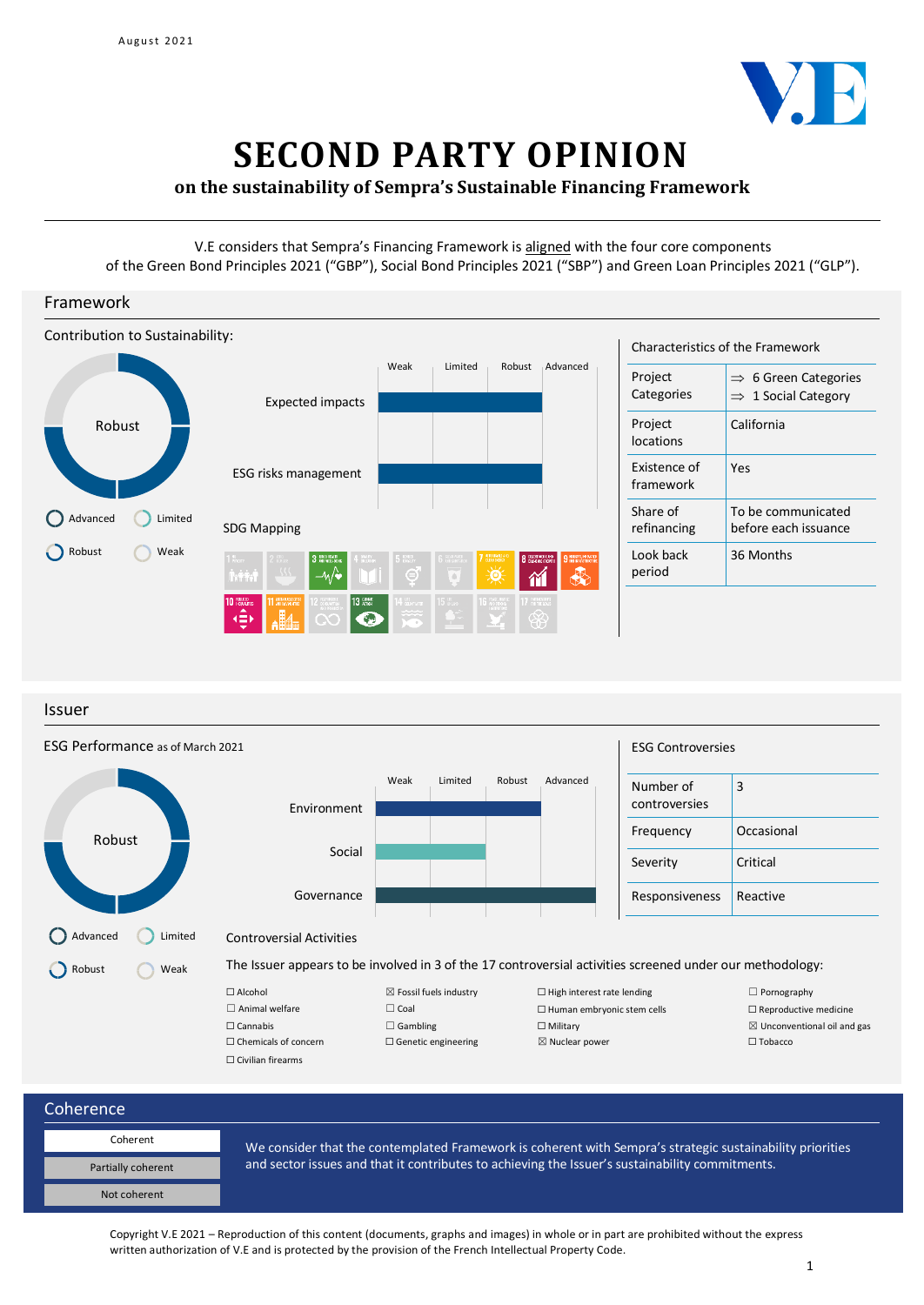

# **SECOND PARTY OPINION**

## **on the sustainability of Sempra's Sustainable Financing Framework**

V.E considers that Sempra's Financing Framework is aligned with the four core components of the Green Bond Principles 2021 ("GBP"), Social Bond Principles 2021 ("SBP") and Green Loan Principles 2021 ("GLP").



Issuer



| Coherence          |                                                                                                           |  |  |  |  |
|--------------------|-----------------------------------------------------------------------------------------------------------|--|--|--|--|
| Coherent           | We consider that the contemplated Framework is coherent with Sempra's strategic sustainability priorities |  |  |  |  |
| Partially coherent | and sector issues and that it contributes to achieving the Issuer's sustainability commitments.           |  |  |  |  |
| Not coherent       |                                                                                                           |  |  |  |  |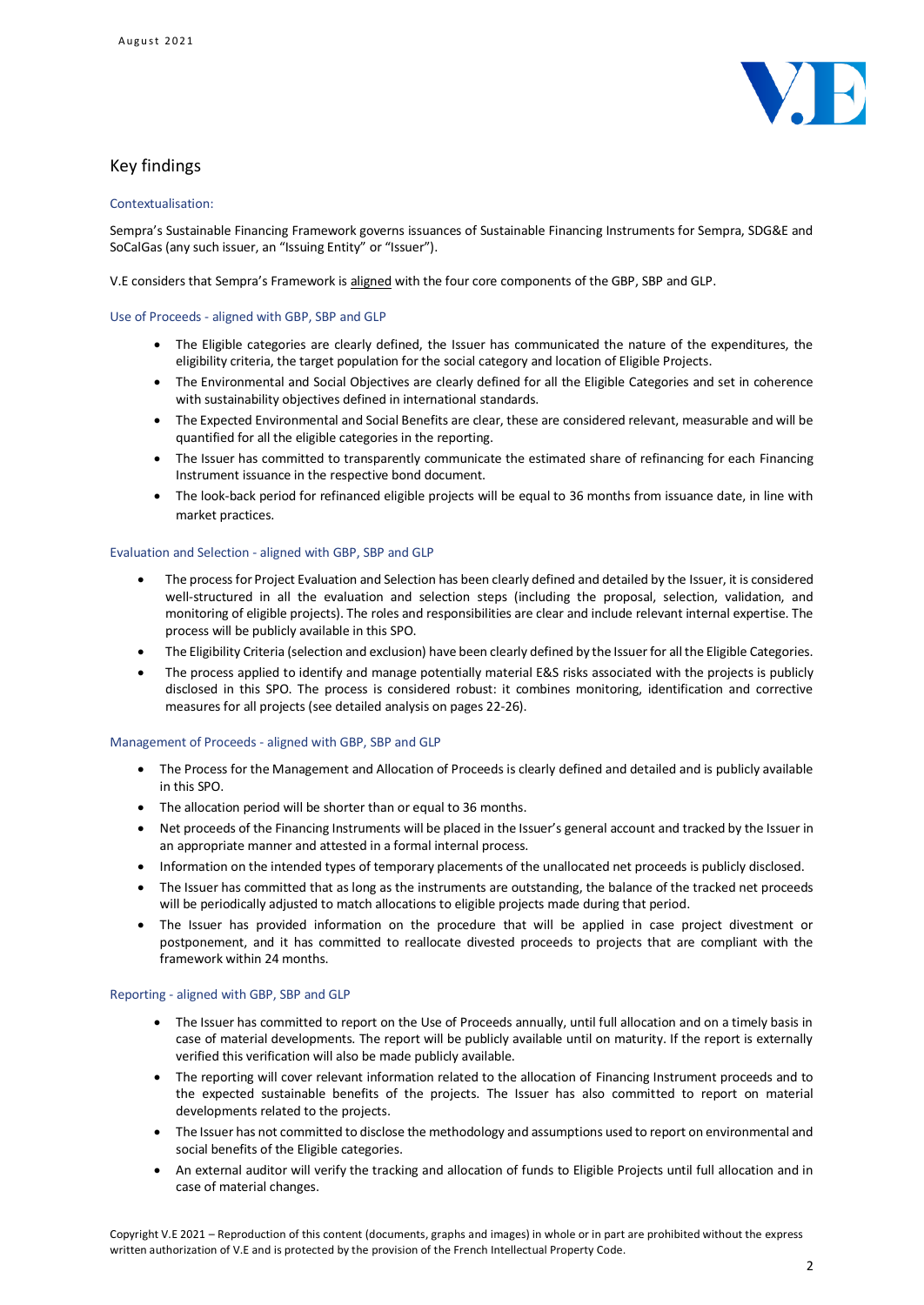

## Key findings

#### Contextualisation:

Sempra's Sustainable Financing Framework governs issuances of Sustainable Financing Instruments for Sempra, SDG&E and SoCalGas (any such issuer, an "Issuing Entity" or "Issuer").

V.E considers that Sempra's Framework is aligned with the four core components of the GBP, SBP and GLP.

#### Use of Proceeds - aligned with GBP, SBP and GLP

- The Eligible categories are clearly defined, the Issuer has communicated the nature of the expenditures, the eligibility criteria, the target population for the social category and location of Eligible Projects.
- The Environmental and Social Objectives are clearly defined for all the Eligible Categories and set in coherence with sustainability objectives defined in international standards.
- The Expected Environmental and Social Benefits are clear, these are considered relevant, measurable and will be quantified for all the eligible categories in the reporting.
- The Issuer has committed to transparently communicate the estimated share of refinancing for each Financing Instrument issuance in the respective bond document.
- The look-back period for refinanced eligible projects will be equal to 36 months from issuance date, in line with market practices.

#### Evaluation and Selection - aligned with GBP, SBP and GLP

- The process for Project Evaluation and Selection has been clearly defined and detailed by the Issuer, it is considered well-structured in all the evaluation and selection steps (including the proposal, selection, validation, and monitoring of eligible projects). The roles and responsibilities are clear and include relevant internal expertise. The process will be publicly available in this SPO.
- The Eligibility Criteria (selection and exclusion) have been clearly defined by the Issuer for all the Eligible Categories.
- The process applied to identify and manage potentially material E&S risks associated with the projects is publicly disclosed in this SPO. The process is considered robust: it combines monitoring, identification and corrective measures for all projects (see detailed analysis on pages 22-26).

#### Management of Proceeds - aligned with GBP, SBP and GLP

- The Process for the Management and Allocation of Proceeds is clearly defined and detailed and is publicly available in this SPO.
- The allocation period will be shorter than or equal to 36 months.
- Net proceeds of the Financing Instruments will be placed in the Issuer's general account and tracked by the Issuer in an appropriate manner and attested in a formal internal process.
- Information on the intended types of temporary placements of the unallocated net proceeds is publicly disclosed.
- The Issuer has committed that as long as the instruments are outstanding, the balance of the tracked net proceeds will be periodically adjusted to match allocations to eligible projects made during that period.
- The Issuer has provided information on the procedure that will be applied in case project divestment or postponement, and it has committed to reallocate divested proceeds to projects that are compliant with the framework within 24 months.

#### Reporting - aligned with GBP, SBP and GLP

- The Issuer has committed to report on the Use of Proceeds annually, until full allocation and on a timely basis in case of material developments. The report will be publicly available until on maturity. If the report is externally verified this verification will also be made publicly available.
- The reporting will cover relevant information related to the allocation of Financing Instrument proceeds and to the expected sustainable benefits of the projects. The Issuer has also committed to report on material developments related to the projects.
- The Issuer has not committed to disclose the methodology and assumptions used to report on environmental and social benefits of the Eligible categories.
- An external auditor will verify the tracking and allocation of funds to Eligible Projects until full allocation and in case of material changes.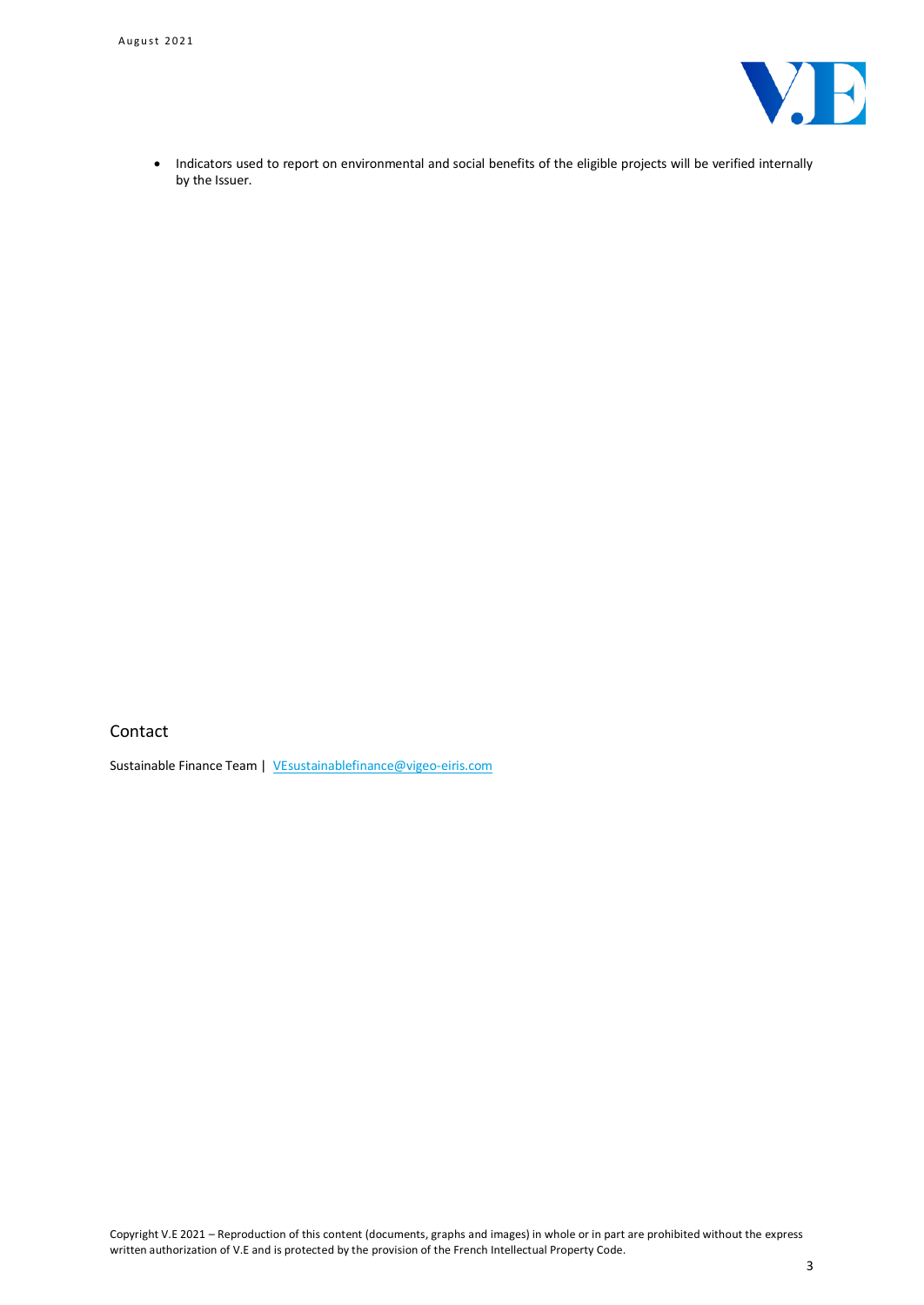

• Indicators used to report on environmental and social benefits of the eligible projects will be verified internally by the Issuer.

Contact

Sustainable Finance Team | [VEsustainablefinance@vigeo-eiris.com](mailto:VEsustainablefinance@vigeo-eiris.com)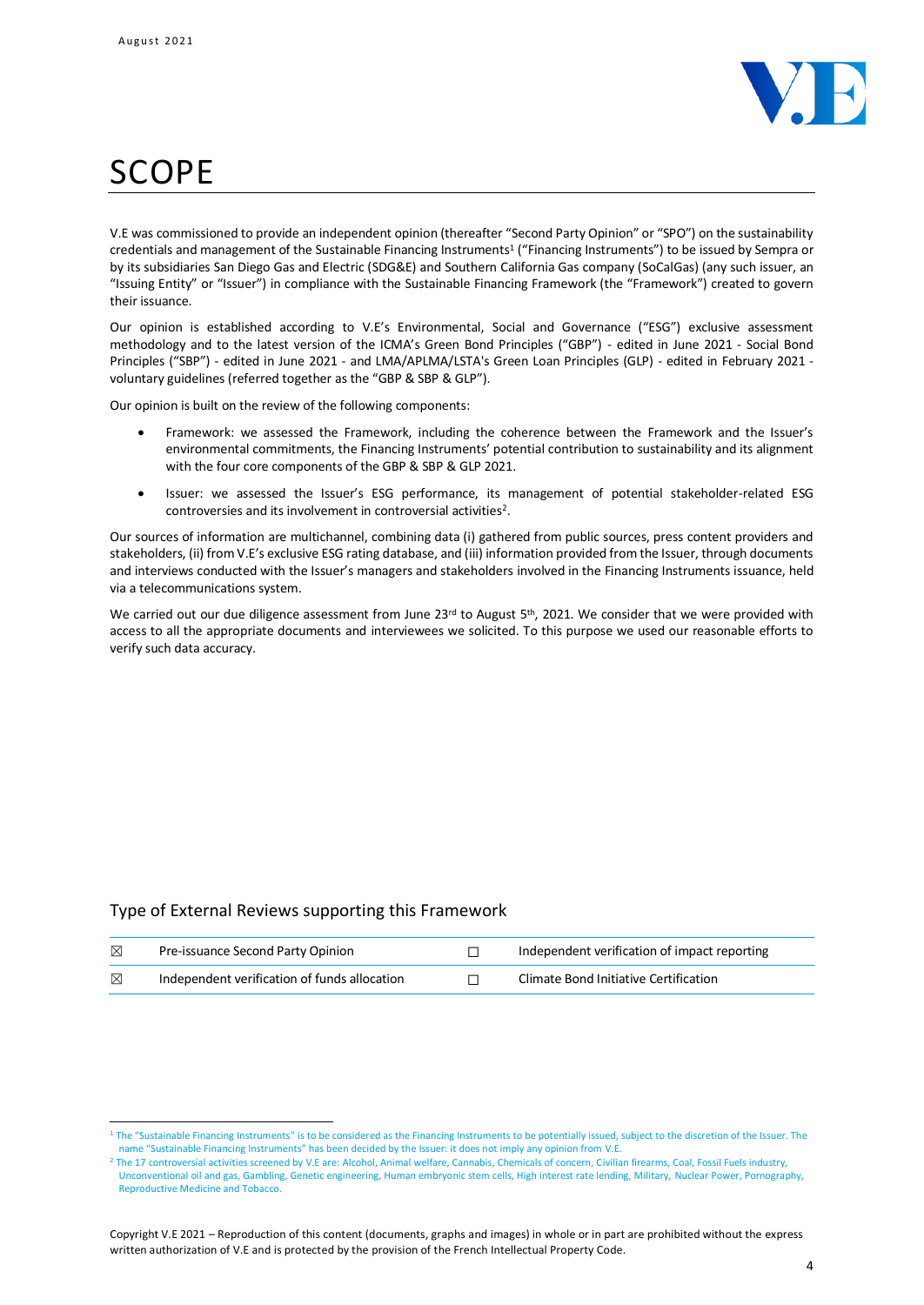

# **SCOPE**

V.E was commissioned to provide an independent opinion (thereafter "Second Party Opinion" or "SPO") on the sustainability credentials and management of the Sustainable Financing Instruments<sup>1</sup> ("Financing Instruments") to be issued by Sempra or by its subsidiaries San Diego Gas and Electric (SDG&E) and Southern California Gas company (SoCalGas) (any such issuer, an "Issuing Entity" or "Issuer") in compliance with the Sustainable Financing Framework (the "Framework") created to govern their issuance.

Our opinion is established according to V.E's Environmental, Social and Governance ("ESG") exclusive assessment methodology and to the latest version of the ICMA's Green Bond Principles ("GBP") - edited in June 2021 - Social Bond Principles ("SBP") - edited in June 2021 - and LMA/APLMA/LSTA's Green Loan Principles (GLP) - edited in February 2021 voluntary guidelines (referred together as the "GBP & SBP & GLP").

Our opinion is built on the review of the following components:

- Framework: we assessed the Framework, including the coherence between the Framework and the Issuer's environmental commitments, the Financing Instruments' potential contribution to sustainability and its alignment with the four core components of the GBP & SBP & GLP 2021.
- Issuer: we assessed the Issuer's ESG performance, its management of potential stakeholder-related ESG controversies and its involvement in controversial activities<sup>2</sup>.

Our sources of information are multichannel, combining data (i) gathered from public sources, press content providers and stakeholders, (ii) from V.E's exclusive ESG rating database, and (iii) information provided from the Issuer, through documents and interviews conducted with the Issuer's managers and stakeholders involved in the Financing Instruments issuance, held via a telecommunications system.

We carried out our due diligence assessment from June 23<sup>rd</sup> to August 5<sup>th</sup>, 2021. We consider that we were provided with access to all the appropriate documents and interviewees we solicited. To this purpose we used our reasonable efforts to verify such data accuracy.

## Type of External Reviews supporting this Framework

| ⊠ | Pre-issuance Second Party Opinion            | Independent verification of impact reporting |
|---|----------------------------------------------|----------------------------------------------|
| ⊠ | Independent verification of funds allocation | Climate Bond Initiative Certification        |

<sup>&</sup>lt;sup>1</sup> The "Sustainable Financing Instruments" is to be considered as the Financing Instruments to be potentially issued, subject to the discretion of the Issuer. The name "Sustainable Financing Instruments" has been decided by the Issuer: it does not imply any opinion from V.E.

<sup>&</sup>lt;sup>2</sup> The 17 controversial activities screened by V.E are: Alcohol, Animal welfare, Cannabis, Chemicals of concern, Civilian firearms, Coal, Fossil Fuels industry,

Unconventional oil and gas, Gambling, Genetic engineering, Human embryonic stem cells, High interest rate lending, Military, Nuclear Power, Pornography, Reproductive Medicine and Tobacco.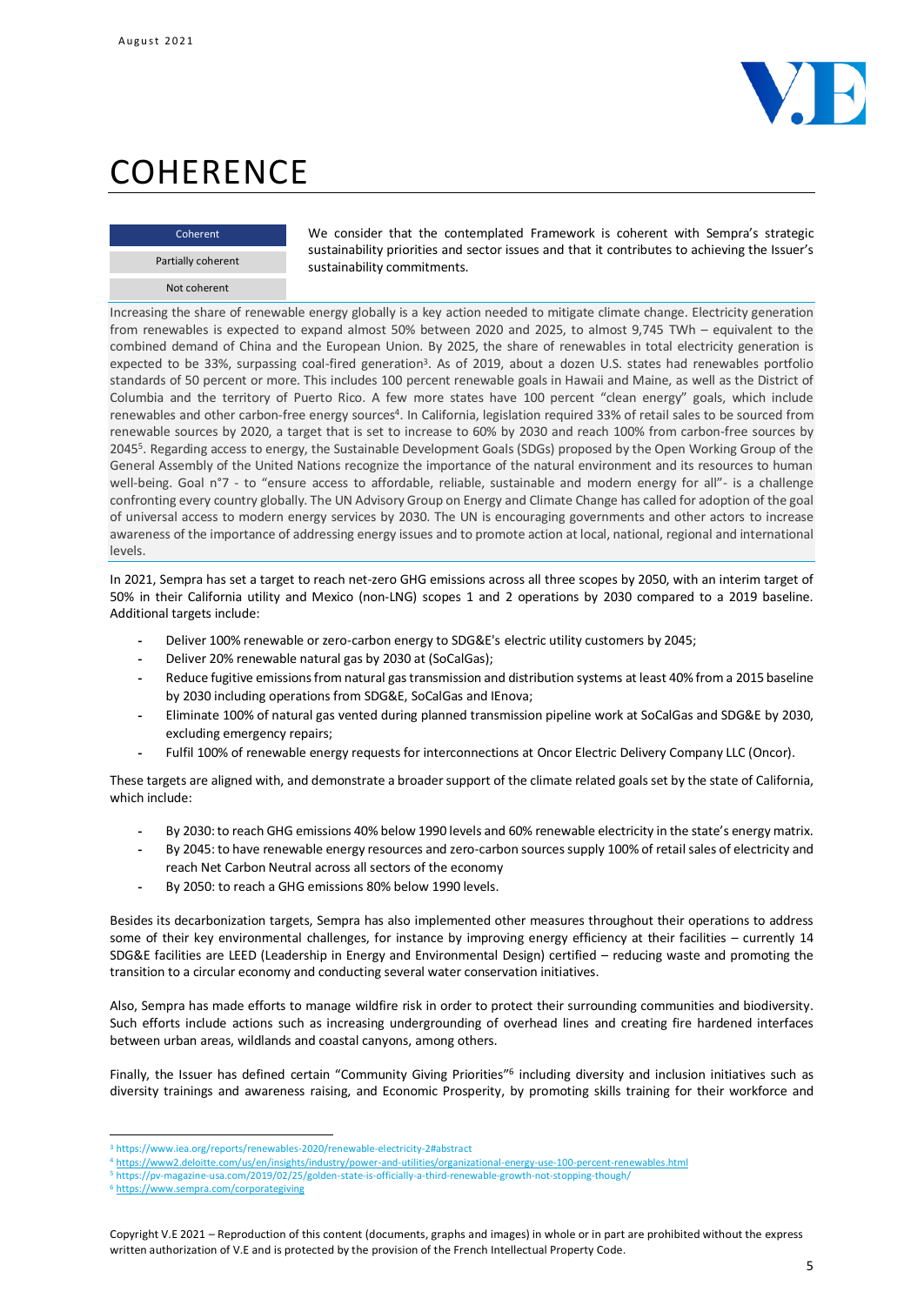

# **COHERENCE**

| Coherent           |  |
|--------------------|--|
| Partially coherent |  |
| Not coherent       |  |

We consider that the contemplated Framework is coherent with Sempra's strategic sustainability priorities and sector issues and that it contributes to achieving the Issuer's sustainability commitments.

Increasing the share of renewable energy globally is a key action needed to mitigate climate change. Electricity generation from renewables is expected to expand almost 50% between 2020 and 2025, to almost 9,745 TWh – equivalent to the combined demand of China and the European Union. By 2025, the share of renewables in total electricity generation is expected to be 33%, surpassing coal-fired generation<sup>3</sup>. As of 2019, about a dozen U.S. states had renewables portfolio standards of 50 percent or more. This includes 100 percent renewable goals in Hawaii and Maine, as well as the District of Columbia and the territory of Puerto Rico. A few more states have 100 percent "clean energy" goals, which include renewables and other carbon-free energy sources<sup>4</sup>. In California, legislation required 33% of retail sales to be sourced from renewable sources by 2020, a target that is set to increase to 60% by 2030 and reach 100% from carbon-free sources by 2045<sup>5</sup> . Regarding access to energy, the Sustainable Development Goals (SDGs) proposed by the Open Working Group of the General Assembly of the United Nations recognize the importance of the natural environment and its resources to human well-being. Goal n°7 - to "ensure access to affordable, reliable, sustainable and modern energy for all"- is a challenge confronting every country globally. The UN Advisory Group on Energy and Climate Change has called for adoption of the goal of universal access to modern energy services by 2030. The UN is encouraging governments and other actors to increase awareness of the importance of addressing energy issues and to promote action at local, national, regional and international levels.

In 2021, Sempra has set a target to reach net-zero GHG emissions across all three scopes by 2050, with an interim target of 50% in their California utility and Mexico (non-LNG) scopes 1 and 2 operations by 2030 compared to a 2019 baseline. Additional targets include:

- Deliver 100% renewable or zero-carbon energy to SDG&E's electric utility customers by 2045;
- Deliver 20% renewable natural gas by 2030 at (SoCalGas);
- Reduce fugitive emissions from natural gas transmission and distribution systems at least 40% from a 2015 baseline by 2030 including operations from SDG&E, SoCalGas and IEnova;
- Eliminate 100% of natural gas vented during planned transmission pipeline work at SoCalGas and SDG&E by 2030, excluding emergency repairs;
- Fulfil 100% of renewable energy requests for interconnections at Oncor Electric Delivery Company LLC (Oncor).

These targets are aligned with, and demonstrate a broader support of the climate related goals set by the state of California, which include:

- By 2030: to reach GHG emissions 40% below 1990 levels and 60% renewable electricity in the state's energy matrix.
- By 2045: to have renewable energy resources and zero-carbon sources supply 100% of retail sales of electricity and reach Net Carbon Neutral across all sectors of the economy
- By 2050: to reach a GHG emissions 80% below 1990 levels.

Besides its decarbonization targets, Sempra has also implemented other measures throughout their operations to address some of their key environmental challenges, for instance by improving energy efficiency at their facilities – currently 14 SDG&E facilities are LEED (Leadership in Energy and Environmental Design) certified – reducing waste and promoting the transition to a circular economy and conducting several water conservation initiatives.

Also, Sempra has made efforts to manage wildfire risk in order to protect their surrounding communities and biodiversity. Such efforts include actions such as increasing undergrounding of overhead lines and creating fire hardened interfaces between urban areas, wildlands and coastal canyons, among others.

Finally, the Issuer has defined certain "Community Giving Priorities"<sup>6</sup> including diversity and inclusion initiatives such as diversity trainings and awareness raising, and Economic Prosperity, by promoting skills training for their workforce and

<sup>3</sup> https://www.iea.org/reports/renewables-2020/renewable-electricity-2#abstract

<sup>4</sup> <https://www2.deloitte.com/us/en/insights/industry/power-and-utilities/organizational-energy-use-100-percent-renewables.html>

<sup>5</sup> https://pv-magazine-usa.com/2019/02/25/golden-state-is-officially-a-third-renewable-growth-not-stopping-though/

<sup>6</sup> <https://www.sempra.com/corporategiving>

Copyright V.E 2021 – Reproduction of this content (documents, graphs and images) in whole or in part are prohibited without the express written authorization of V.E and is protected by the provision of the French Intellectual Property Code.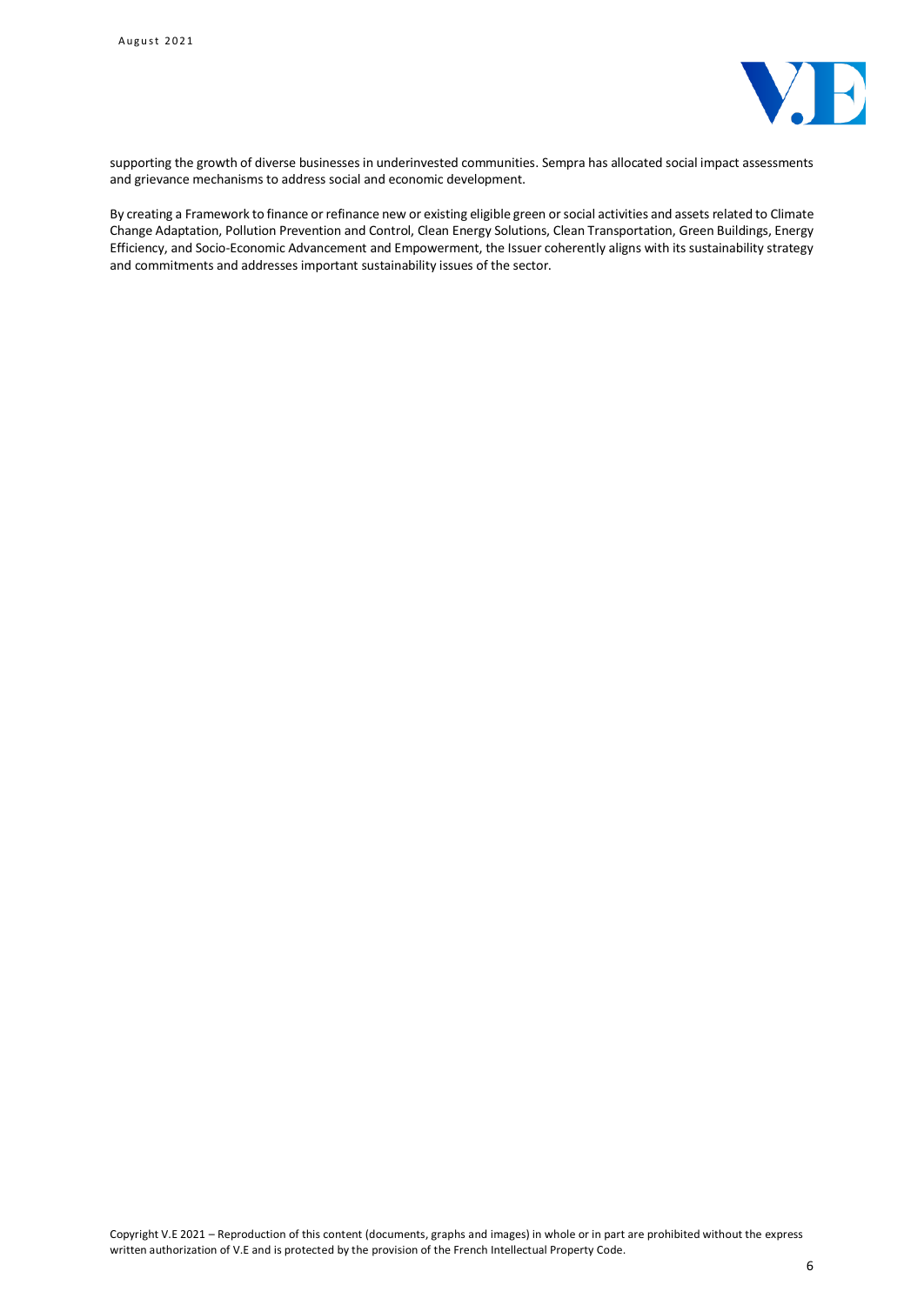

supporting the growth of diverse businesses in underinvested communities. Sempra has allocated social impact assessments and grievance mechanisms to address social and economic development.

By creating a Framework to finance or refinance new or existing eligible green or social activities and assets related to Climate Change Adaptation, Pollution Prevention and Control, Clean Energy Solutions, Clean Transportation, Green Buildings, Energy Efficiency, and Socio-Economic Advancement and Empowerment, the Issuer coherently aligns with its sustainability strategy and commitments and addresses important sustainability issues of the sector.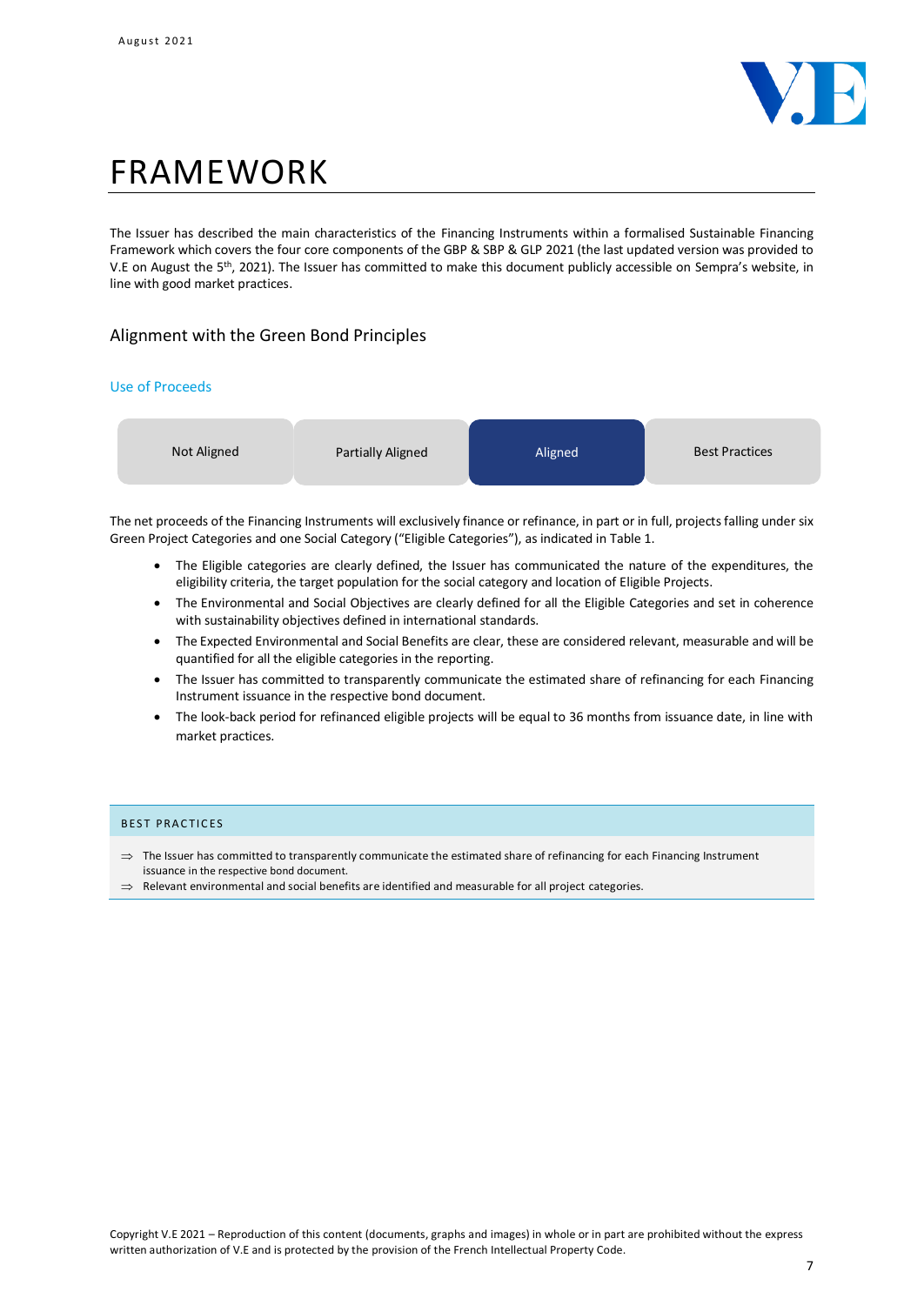

# FRAMEWORK

The Issuer has described the main characteristics of the Financing Instruments within a formalised Sustainable Financing Framework which covers the four core components of the GBP & SBP & GLP 2021 (the last updated version was provided to V.E on August the 5<sup>th</sup>, 2021). The Issuer has committed to make this document publicly accessible on Sempra's website, in line with good market practices.

## Alignment with the Green Bond Principles

### Use of Proceeds

| Not Aligned | <b>Partially Aligned</b> | Aligned | <b>Best Practices</b> |
|-------------|--------------------------|---------|-----------------------|
|-------------|--------------------------|---------|-----------------------|

The net proceeds of the Financing Instruments will exclusively finance or refinance, in part or in full, projects falling under six Green Project Categories and one Social Category ("Eligible Categories"), as indicated in Table 1.

- The Eligible categories are clearly defined, the Issuer has communicated the nature of the expenditures, the eligibility criteria, the target population for the social category and location of Eligible Projects.
- The Environmental and Social Objectives are clearly defined for all the Eligible Categories and set in coherence with sustainability objectives defined in international standards.
- The Expected Environmental and Social Benefits are clear, these are considered relevant, measurable and will be quantified for all the eligible categories in the reporting.
- The Issuer has committed to transparently communicate the estimated share of refinancing for each Financing Instrument issuance in the respective bond document.
- The look-back period for refinanced eligible projects will be equal to 36 months from issuance date, in line with market practices.

#### BEST PRACTICES

- $\Rightarrow$  The Issuer has committed to transparently communicate the estimated share of refinancing for each Financing Instrument issuance in the respective bond document.
- $\Rightarrow$  Relevant environmental and social benefits are identified and measurable for all project categories.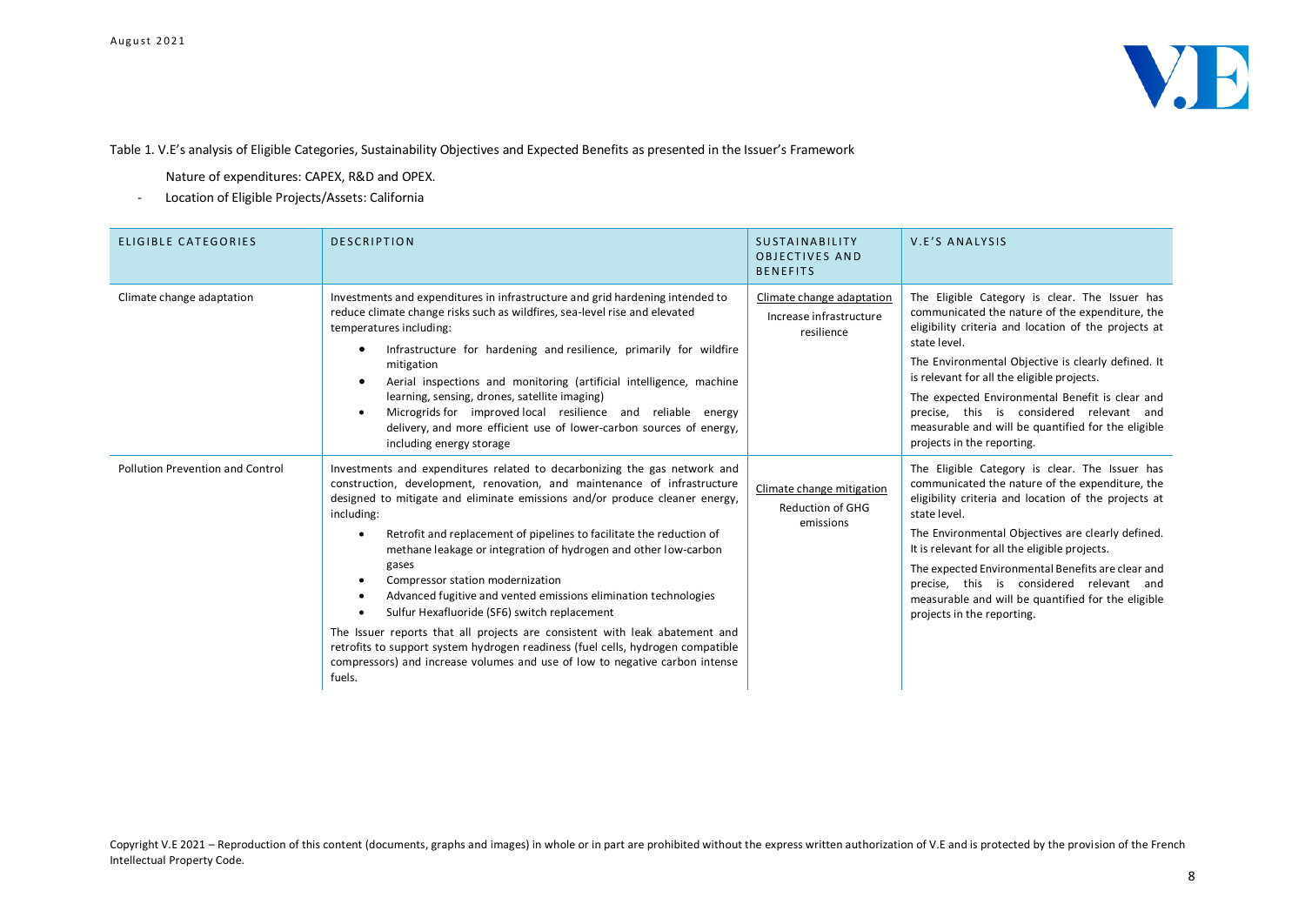

Table 1. V.E's analysis of Eligible Categories, Sustainability Objectives and Expected Benefits as presented in the Issuer's Framework

Nature of expenditures: CAPEX, R&D and OPEX.

- Location of Eligible Projects/Assets: California

| <b>ELIGIBLE CATEGORIES</b>              | <b>DESCRIPTION</b>                                                                                                                                                                                                                                                                                                                                                                                                                                                                                                                                                                                                                                                                                                                                                                                                                                                           | <b>SUSTAINABILITY</b><br><b>OBJECTIVES AND</b><br><b>BENEFITS</b>  | V.E'S ANALYSIS                                                                                                                                                                                                                                                                                                                                                                                                                                                       |
|-----------------------------------------|------------------------------------------------------------------------------------------------------------------------------------------------------------------------------------------------------------------------------------------------------------------------------------------------------------------------------------------------------------------------------------------------------------------------------------------------------------------------------------------------------------------------------------------------------------------------------------------------------------------------------------------------------------------------------------------------------------------------------------------------------------------------------------------------------------------------------------------------------------------------------|--------------------------------------------------------------------|----------------------------------------------------------------------------------------------------------------------------------------------------------------------------------------------------------------------------------------------------------------------------------------------------------------------------------------------------------------------------------------------------------------------------------------------------------------------|
| Climate change adaptation               | Investments and expenditures in infrastructure and grid hardening intended to<br>reduce climate change risks such as wildfires, sea-level rise and elevated<br>temperatures including:<br>Infrastructure for hardening and resilience, primarily for wildfire<br>$\bullet$<br>mitigation<br>Aerial inspections and monitoring (artificial intelligence, machine<br>$\bullet$<br>learning, sensing, drones, satellite imaging)<br>Microgrids for improved local resilience and reliable energy<br>$\bullet$<br>delivery, and more efficient use of lower-carbon sources of energy,<br>including energy storage                                                                                                                                                                                                                                                                | Climate change adaptation<br>Increase infrastructure<br>resilience | The Eligible Category is clear. The Issuer has<br>communicated the nature of the expenditure, the<br>eligibility criteria and location of the projects at<br>state level.<br>The Environmental Objective is clearly defined. It<br>is relevant for all the eligible projects.<br>The expected Environmental Benefit is clear and<br>precise, this is considered relevant and<br>measurable and will be quantified for the eligible<br>projects in the reporting.     |
| <b>Pollution Prevention and Control</b> | Investments and expenditures related to decarbonizing the gas network and<br>construction, development, renovation, and maintenance of infrastructure<br>designed to mitigate and eliminate emissions and/or produce cleaner energy,<br>including:<br>Retrofit and replacement of pipelines to facilitate the reduction of<br>$\bullet$<br>methane leakage or integration of hydrogen and other low-carbon<br>gases<br>Compressor station modernization<br>$\bullet$<br>Advanced fugitive and vented emissions elimination technologies<br>$\bullet$<br>Sulfur Hexafluoride (SF6) switch replacement<br>$\bullet$<br>The Issuer reports that all projects are consistent with leak abatement and<br>retrofits to support system hydrogen readiness (fuel cells, hydrogen compatible<br>compressors) and increase volumes and use of low to negative carbon intense<br>fuels. | Climate change mitigation<br>Reduction of GHG<br>emissions         | The Eligible Category is clear. The Issuer has<br>communicated the nature of the expenditure, the<br>eligibility criteria and location of the projects at<br>state level.<br>The Environmental Objectives are clearly defined.<br>It is relevant for all the eligible projects.<br>The expected Environmental Benefits are clear and<br>precise, this is considered relevant and<br>measurable and will be quantified for the eligible<br>projects in the reporting. |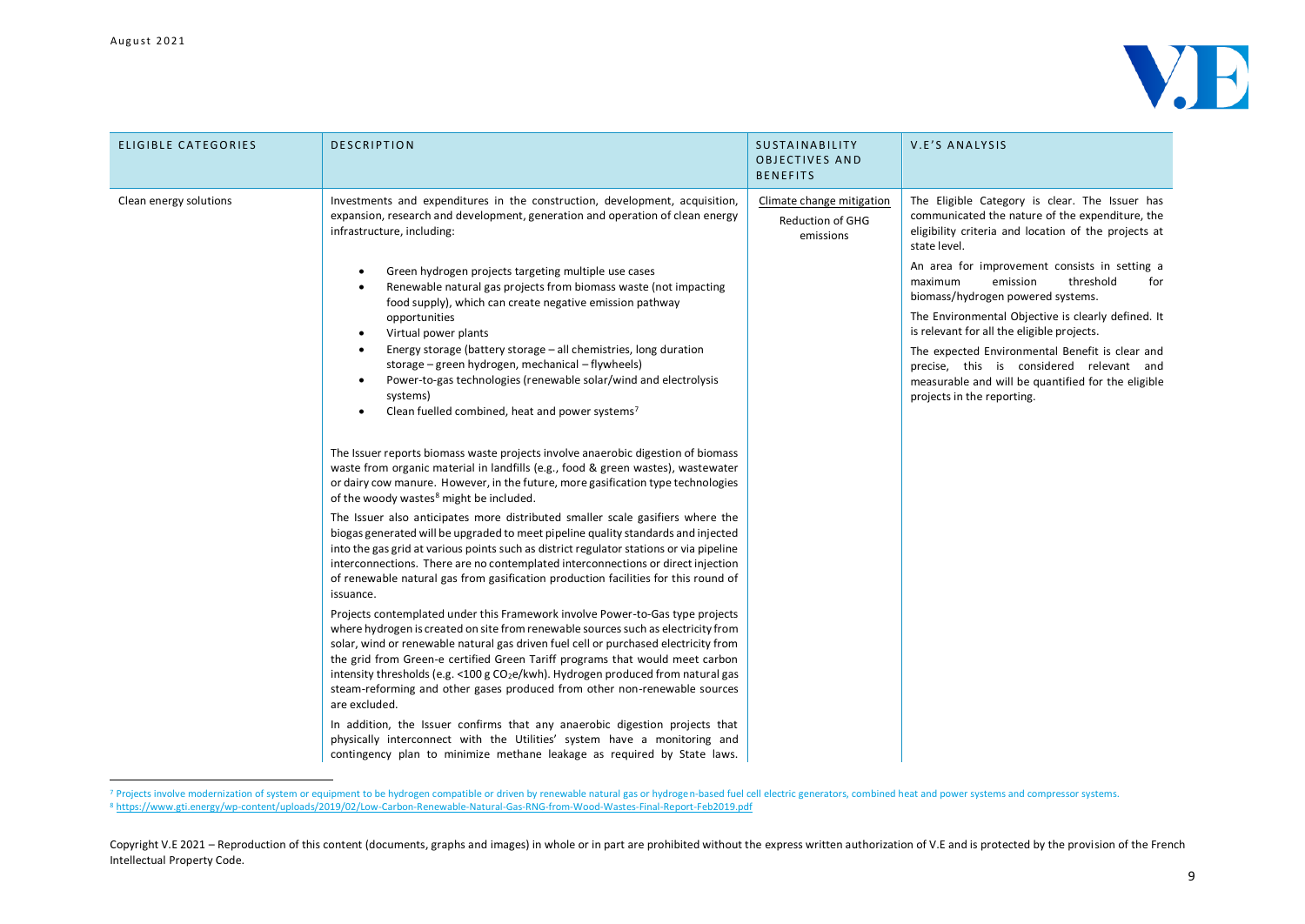

| ELIGIBLE CATEGORIES    | <b>DESCRIPTION</b>                                                                                                                                                                                                                                                                                                                                                                                                                                                                                                                                            | <b>SUSTAINABILITY</b><br><b>OBJECTIVES AND</b><br><b>BENEFITS</b> | V.E'S ANALYSIS                                                                                                                                                                  |
|------------------------|---------------------------------------------------------------------------------------------------------------------------------------------------------------------------------------------------------------------------------------------------------------------------------------------------------------------------------------------------------------------------------------------------------------------------------------------------------------------------------------------------------------------------------------------------------------|-------------------------------------------------------------------|---------------------------------------------------------------------------------------------------------------------------------------------------------------------------------|
| Clean energy solutions | Investments and expenditures in the construction, development, acquisition,<br>expansion, research and development, generation and operation of clean energy<br>infrastructure, including:                                                                                                                                                                                                                                                                                                                                                                    | Climate change mitigation<br>Reduction of GHG<br>emissions        | The Eligible Category is clear. The Issuer has<br>communicated the nature of the expenditure, the<br>eligibility criteria and location of the projects at<br>state level.       |
|                        | Green hydrogen projects targeting multiple use cases<br>$\bullet$<br>Renewable natural gas projects from biomass waste (not impacting<br>$\bullet$<br>food supply), which can create negative emission pathway                                                                                                                                                                                                                                                                                                                                                |                                                                   | An area for improvement consists in setting a<br>emission<br>threshold<br>for<br>maximum<br>biomass/hydrogen powered systems.                                                   |
|                        | opportunities<br>Virtual power plants<br>$\bullet$                                                                                                                                                                                                                                                                                                                                                                                                                                                                                                            |                                                                   | The Environmental Objective is clearly defined. It<br>is relevant for all the eligible projects.                                                                                |
|                        | Energy storage (battery storage - all chemistries, long duration<br>$\bullet$<br>storage - green hydrogen, mechanical - flywheels)<br>Power-to-gas technologies (renewable solar/wind and electrolysis<br>$\bullet$<br>systems)<br>Clean fuelled combined, heat and power systems7<br>$\bullet$                                                                                                                                                                                                                                                               |                                                                   | The expected Environmental Benefit is clear and<br>precise, this is considered relevant and<br>measurable and will be quantified for the eligible<br>projects in the reporting. |
|                        | The Issuer reports biomass waste projects involve anaerobic digestion of biomass<br>waste from organic material in landfills (e.g., food & green wastes), wastewater<br>or dairy cow manure. However, in the future, more gasification type technologies<br>of the woody wastes <sup>8</sup> might be included.                                                                                                                                                                                                                                               |                                                                   |                                                                                                                                                                                 |
|                        | The Issuer also anticipates more distributed smaller scale gasifiers where the<br>biogas generated will be upgraded to meet pipeline quality standards and injected<br>into the gas grid at various points such as district regulator stations or via pipeline<br>interconnections. There are no contemplated interconnections or direct injection<br>of renewable natural gas from gasification production facilities for this round of<br>issuance.                                                                                                         |                                                                   |                                                                                                                                                                                 |
|                        | Projects contemplated under this Framework involve Power-to-Gas type projects<br>where hydrogen is created on site from renewable sources such as electricity from<br>solar, wind or renewable natural gas driven fuel cell or purchased electricity from<br>the grid from Green-e certified Green Tariff programs that would meet carbon<br>intensity thresholds (e.g. $\langle 100 \text{ g } CO_2 \text{e/kwh} \rangle$ . Hydrogen produced from natural gas<br>steam-reforming and other gases produced from other non-renewable sources<br>are excluded. |                                                                   |                                                                                                                                                                                 |
|                        | In addition, the Issuer confirms that any anaerobic digestion projects that<br>physically interconnect with the Utilities' system have a monitoring and<br>contingency plan to minimize methane leakage as required by State laws.                                                                                                                                                                                                                                                                                                                            |                                                                   |                                                                                                                                                                                 |

<sup>&</sup>lt;sup>7</sup> Projects involve modernization of system or equipment to be hydrogen compatible or driven by renewable natural gas or hydrogen-based fuel cell electric generators, combined heat and power systems and compressor systems <sup>8</sup> <https://www.gti.energy/wp-content/uploads/2019/02/Low-Carbon-Renewable-Natural-Gas-RNG-from-Wood-Wastes-Final-Report-Feb2019.pdf>

Copyright V.E 2021 – Reproduction of this content (documents, graphs and images) in whole or in part are prohibited without the express written authorization of V.E and is protected by the provision of the French Intellectual Property Code.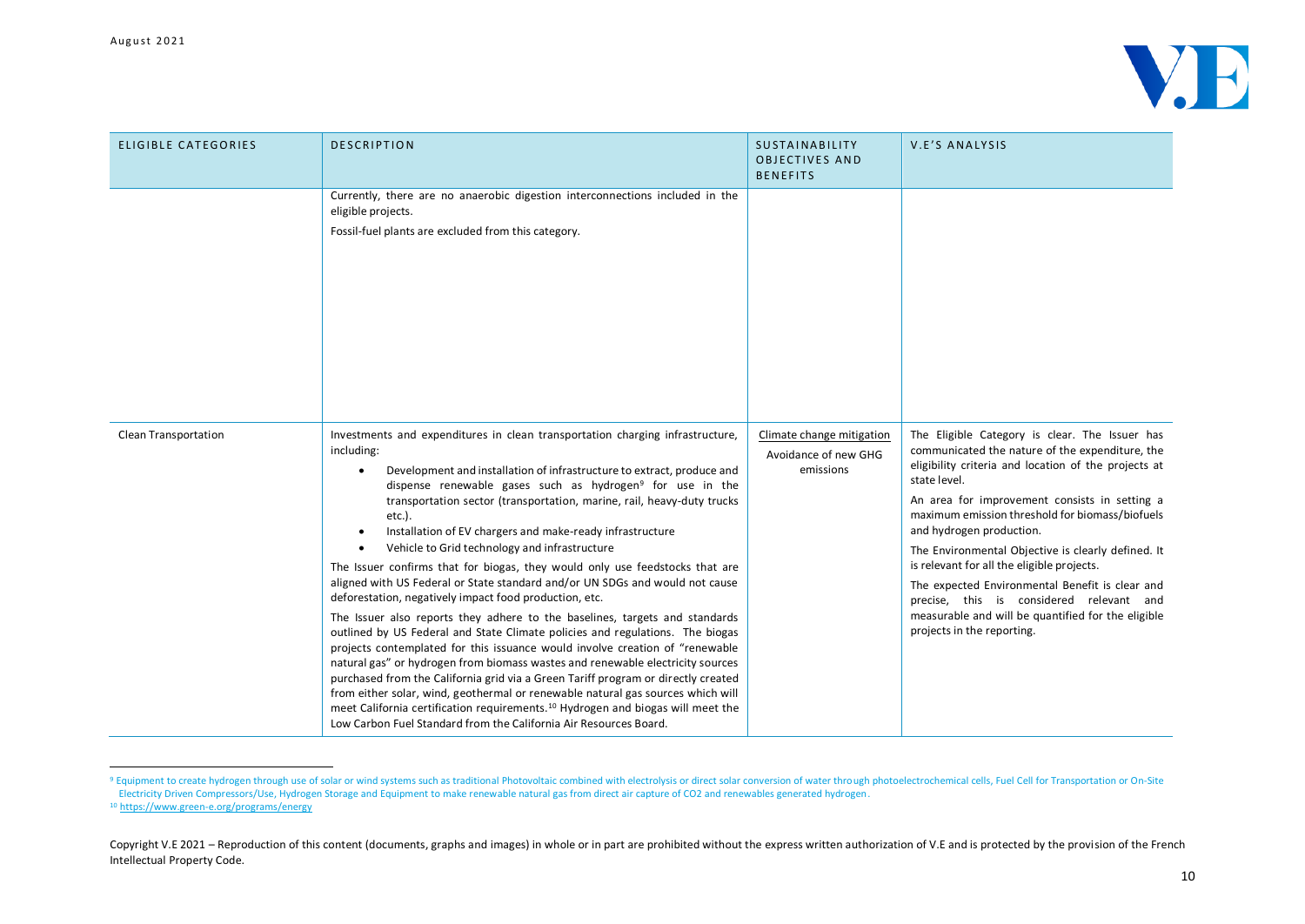

| <b>ELIGIBLE CATEGORIES</b>  | <b>DESCRIPTION</b>                                                                                                                                                                                                                                                                                                                                                                                                                                                                                                                                                                                                                                                                                                                                                                                                                                                                                                                                                                                                                                                                                                                                                                                                                                                                                                                                                                        | <b>SUSTAINABILITY</b><br><b>OBJECTIVES AND</b><br><b>BENEFITS</b> | V.E'S ANALYSIS                                                                                                                                                                                                                                                                                                                                                                                                                                                                                                                                                                                   |
|-----------------------------|-------------------------------------------------------------------------------------------------------------------------------------------------------------------------------------------------------------------------------------------------------------------------------------------------------------------------------------------------------------------------------------------------------------------------------------------------------------------------------------------------------------------------------------------------------------------------------------------------------------------------------------------------------------------------------------------------------------------------------------------------------------------------------------------------------------------------------------------------------------------------------------------------------------------------------------------------------------------------------------------------------------------------------------------------------------------------------------------------------------------------------------------------------------------------------------------------------------------------------------------------------------------------------------------------------------------------------------------------------------------------------------------|-------------------------------------------------------------------|--------------------------------------------------------------------------------------------------------------------------------------------------------------------------------------------------------------------------------------------------------------------------------------------------------------------------------------------------------------------------------------------------------------------------------------------------------------------------------------------------------------------------------------------------------------------------------------------------|
|                             | Currently, there are no anaerobic digestion interconnections included in the<br>eligible projects.<br>Fossil-fuel plants are excluded from this category.                                                                                                                                                                                                                                                                                                                                                                                                                                                                                                                                                                                                                                                                                                                                                                                                                                                                                                                                                                                                                                                                                                                                                                                                                                 |                                                                   |                                                                                                                                                                                                                                                                                                                                                                                                                                                                                                                                                                                                  |
| <b>Clean Transportation</b> | Investments and expenditures in clean transportation charging infrastructure,<br>including:<br>Development and installation of infrastructure to extract, produce and<br>$\bullet$<br>dispense renewable gases such as hydrogen $9$ for use in the<br>transportation sector (transportation, marine, rail, heavy-duty trucks<br>$etc.$ ).<br>Installation of EV chargers and make-ready infrastructure<br>$\bullet$<br>Vehicle to Grid technology and infrastructure<br>$\bullet$<br>The Issuer confirms that for biogas, they would only use feedstocks that are<br>aligned with US Federal or State standard and/or UN SDGs and would not cause<br>deforestation, negatively impact food production, etc.<br>The Issuer also reports they adhere to the baselines, targets and standards<br>outlined by US Federal and State Climate policies and regulations. The biogas<br>projects contemplated for this issuance would involve creation of "renewable<br>natural gas" or hydrogen from biomass wastes and renewable electricity sources<br>purchased from the California grid via a Green Tariff program or directly created<br>from either solar, wind, geothermal or renewable natural gas sources which will<br>meet California certification requirements. <sup>10</sup> Hydrogen and biogas will meet the<br>Low Carbon Fuel Standard from the California Air Resources Board. | Climate change mitigation<br>Avoidance of new GHG<br>emissions    | The Eligible Category is clear. The Issuer has<br>communicated the nature of the expenditure, the<br>eligibility criteria and location of the projects at<br>state level.<br>An area for improvement consists in setting a<br>maximum emission threshold for biomass/biofuels<br>and hydrogen production.<br>The Environmental Objective is clearly defined. It<br>is relevant for all the eligible projects.<br>The expected Environmental Benefit is clear and<br>precise, this is considered relevant and<br>measurable and will be quantified for the eligible<br>projects in the reporting. |

<sup>&</sup>lt;sup>9</sup> Equipment to create hydrogen through use of solar or wind systems such as traditional Photovoltaic combined with electrolysis or direct solar conversion of water through photoelectrochemical cells, Fuel Cell for Transp Electricity Driven Compressors/Use, Hydrogen Storage and Equipment to make renewable natural gas from direct air capture of CO2 and renewables generated hydrogen. <sup>10</sup> <https://www.green-e.org/programs/energy>

Copyright V.E 2021 – Reproduction of this content (documents, graphs and images) in whole or in part are prohibited without the express written authorization of V.E and is protected by the provision of the French Intellectual Property Code.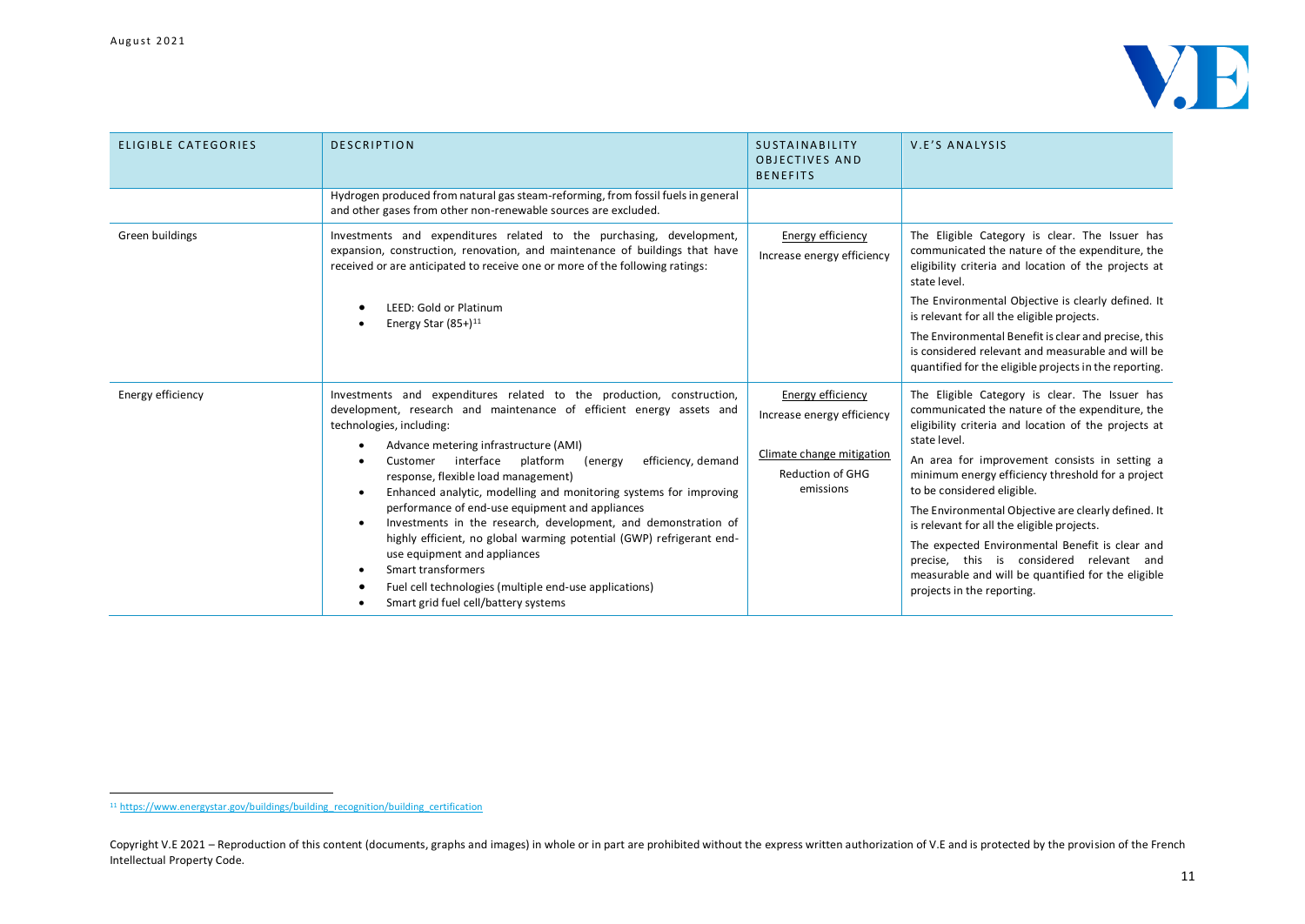

| <b>ELIGIBLE CATEGORIES</b> | <b>DESCRIPTION</b>                                                                                                                                                                                                                                                                                                                                                                                                                                                                                                                                                                                                                                                                                                                                                                       | <b>SUSTAINABILITY</b><br><b>OBJECTIVES AND</b><br><b>BENEFITS</b>                                                    | V.E'S ANALYSIS                                                                                                                                                                                                                                                                                                                                                                                                                                                                                                                                                                                        |
|----------------------------|------------------------------------------------------------------------------------------------------------------------------------------------------------------------------------------------------------------------------------------------------------------------------------------------------------------------------------------------------------------------------------------------------------------------------------------------------------------------------------------------------------------------------------------------------------------------------------------------------------------------------------------------------------------------------------------------------------------------------------------------------------------------------------------|----------------------------------------------------------------------------------------------------------------------|-------------------------------------------------------------------------------------------------------------------------------------------------------------------------------------------------------------------------------------------------------------------------------------------------------------------------------------------------------------------------------------------------------------------------------------------------------------------------------------------------------------------------------------------------------------------------------------------------------|
|                            | Hydrogen produced from natural gas steam-reforming, from fossil fuels in general<br>and other gases from other non-renewable sources are excluded.                                                                                                                                                                                                                                                                                                                                                                                                                                                                                                                                                                                                                                       |                                                                                                                      |                                                                                                                                                                                                                                                                                                                                                                                                                                                                                                                                                                                                       |
| Green buildings            | Investments and expenditures related to the purchasing, development,<br>expansion, construction, renovation, and maintenance of buildings that have<br>received or are anticipated to receive one or more of the following ratings:                                                                                                                                                                                                                                                                                                                                                                                                                                                                                                                                                      | Energy efficiency<br>Increase energy efficiency                                                                      | The Eligible Category is clear. The Issuer has<br>communicated the nature of the expenditure, the<br>eligibility criteria and location of the projects at<br>state level.                                                                                                                                                                                                                                                                                                                                                                                                                             |
|                            | LEED: Gold or Platinum<br>Energy Star $(85+)$ <sup>11</sup><br>٠                                                                                                                                                                                                                                                                                                                                                                                                                                                                                                                                                                                                                                                                                                                         |                                                                                                                      | The Environmental Objective is clearly defined. It<br>is relevant for all the eligible projects.                                                                                                                                                                                                                                                                                                                                                                                                                                                                                                      |
|                            |                                                                                                                                                                                                                                                                                                                                                                                                                                                                                                                                                                                                                                                                                                                                                                                          |                                                                                                                      | The Environmental Benefit is clear and precise, this<br>is considered relevant and measurable and will be<br>quantified for the eligible projects in the reporting.                                                                                                                                                                                                                                                                                                                                                                                                                                   |
| Energy efficiency          | Investments and expenditures related to the production, construction,<br>development, research and maintenance of efficient energy assets and<br>technologies, including:<br>Advance metering infrastructure (AMI)<br>$\bullet$<br>interface<br>platform<br>efficiency, demand<br>Customer<br>(energy<br>response, flexible load management)<br>Enhanced analytic, modelling and monitoring systems for improving<br>$\bullet$<br>performance of end-use equipment and appliances<br>Investments in the research, development, and demonstration of<br>highly efficient, no global warming potential (GWP) refrigerant end-<br>use equipment and appliances<br>Smart transformers<br>٠<br>Fuel cell technologies (multiple end-use applications)<br>Smart grid fuel cell/battery systems | Energy efficiency<br>Increase energy efficiency<br>Climate change mitigation<br><b>Reduction of GHG</b><br>emissions | The Eligible Category is clear. The Issuer has<br>communicated the nature of the expenditure, the<br>eligibility criteria and location of the projects at<br>state level.<br>An area for improvement consists in setting a<br>minimum energy efficiency threshold for a project<br>to be considered eligible.<br>The Environmental Objective are clearly defined. It<br>is relevant for all the eligible projects.<br>The expected Environmental Benefit is clear and<br>precise, this is considered relevant and<br>measurable and will be quantified for the eligible<br>projects in the reporting. |

<sup>&</sup>lt;sup>11</sup> [https://www.energystar.gov/buildings/building\\_recognition/building\\_certification](https://www.energystar.gov/buildings/building_recognition/building_certification)

Copyright V.E 2021 – Reproduction of this content (documents, graphs and images) in whole or in part are prohibited without the express written authorization of V.E and is protected by the provision of the French Intellectual Property Code.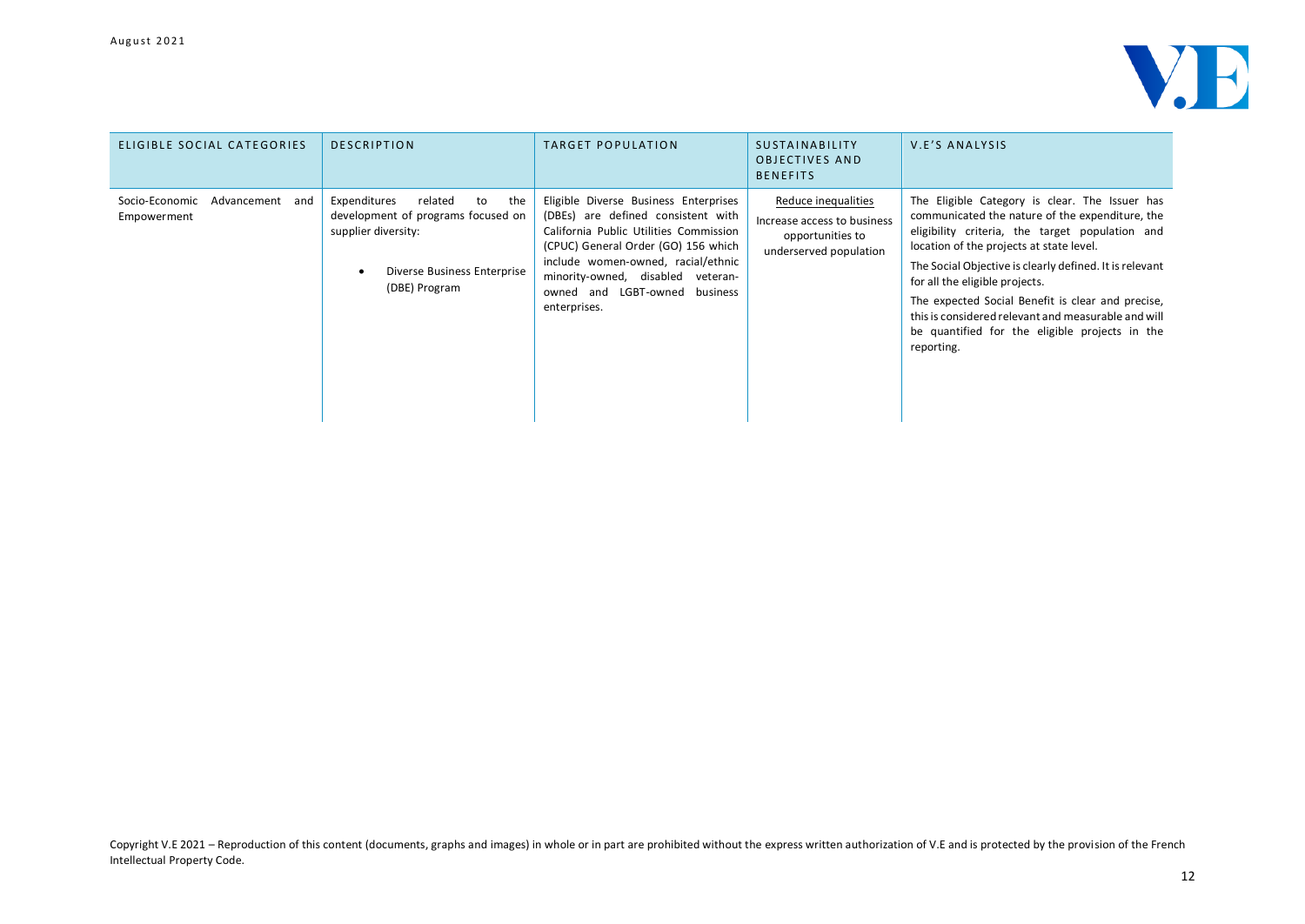

| ELIGIBLE SOCIAL CATEGORIES                          | <b>DESCRIPTION</b>                                                                                                                                     | TARGET POPULATION                                                                                                                                                                                                                                                                        | <b>SUSTAINABILITY</b><br>OBJECTIVES AND<br><b>BENEFITS</b>                                       | V.E'S ANALYSIS                                                                                                                                                                                                                                                                                                                                                                                                                                                            |
|-----------------------------------------------------|--------------------------------------------------------------------------------------------------------------------------------------------------------|------------------------------------------------------------------------------------------------------------------------------------------------------------------------------------------------------------------------------------------------------------------------------------------|--------------------------------------------------------------------------------------------------|---------------------------------------------------------------------------------------------------------------------------------------------------------------------------------------------------------------------------------------------------------------------------------------------------------------------------------------------------------------------------------------------------------------------------------------------------------------------------|
| Socio-Economic<br>Advancement<br>and<br>Empowerment | Expenditures<br>the<br>related<br>to<br>development of programs focused on<br>supplier diversity:<br>Diverse Business Enterprise<br>٠<br>(DBE) Program | Eligible Diverse Business Enterprises<br>(DBEs) are defined consistent with<br>California Public Utilities Commission<br>(CPUC) General Order (GO) 156 which<br>include women-owned, racial/ethnic<br>minority-owned, disabled veteran-<br>owned and LGBT-owned business<br>enterprises. | Reduce inequalities<br>Increase access to business<br>opportunities to<br>underserved population | The Eligible Category is clear. The Issuer has<br>communicated the nature of the expenditure, the<br>eligibility criteria, the target population and<br>location of the projects at state level.<br>The Social Objective is clearly defined. It is relevant<br>for all the eligible projects.<br>The expected Social Benefit is clear and precise,<br>this is considered relevant and measurable and will<br>be quantified for the eligible projects in the<br>reporting. |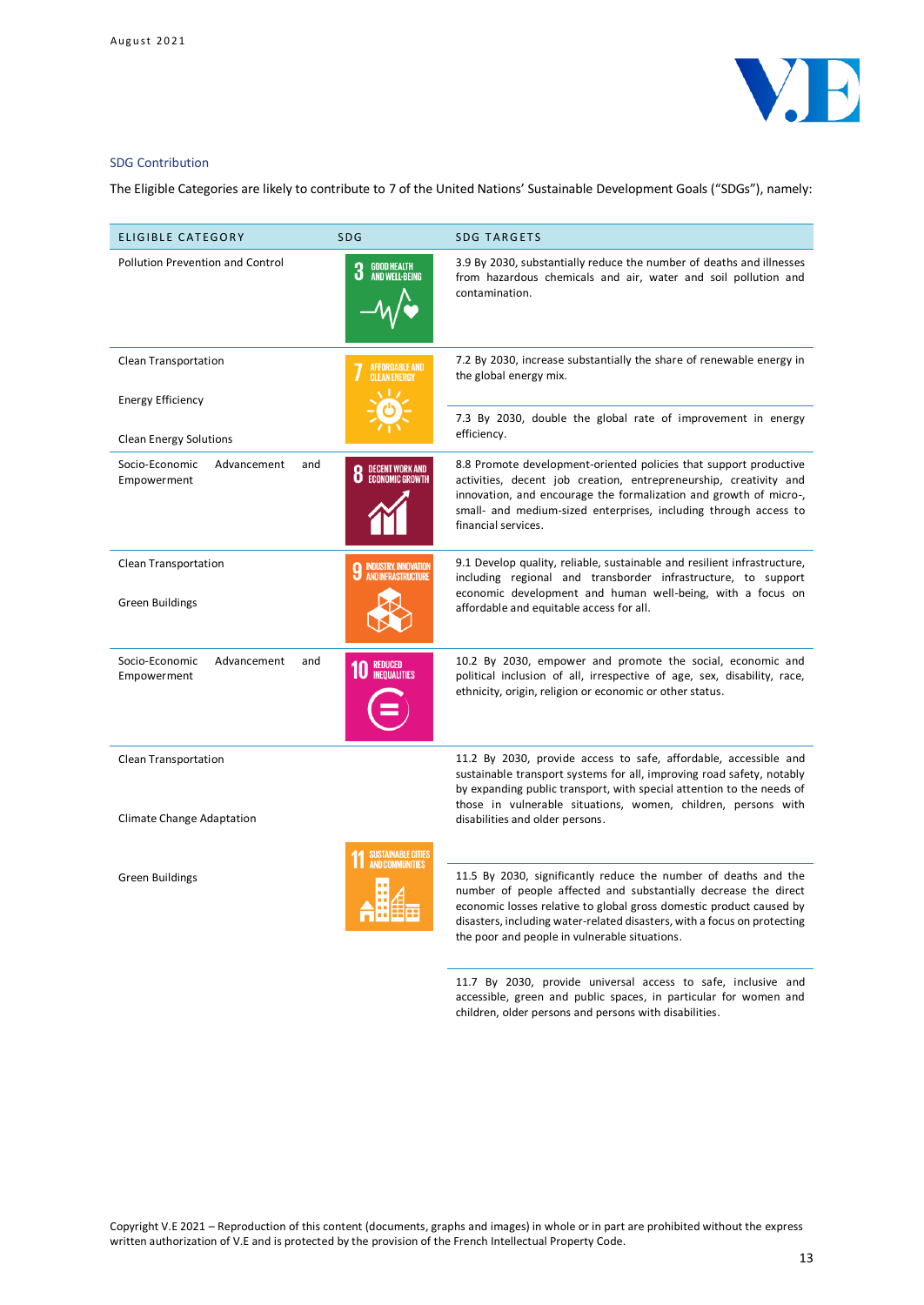

### SDG Contribution

The Eligible Categories are likely to contribute to 7 of the United Nations' Sustainable Development Goals ("SDGs"), namely:

| <b>ELIGIBLE CATEGORY</b>                            | SDG                                                 | <b>SDG TARGETS</b>                                                                                                                                                                                                                                                                                                                     |
|-----------------------------------------------------|-----------------------------------------------------|----------------------------------------------------------------------------------------------------------------------------------------------------------------------------------------------------------------------------------------------------------------------------------------------------------------------------------------|
| <b>Pollution Prevention and Control</b>             | <b>GOOD HEALTH</b><br>3<br><b>AND WELL-BEING</b>    | 3.9 By 2030, substantially reduce the number of deaths and illnesses<br>from hazardous chemicals and air, water and soil pollution and<br>contamination.                                                                                                                                                                               |
| <b>Clean Transportation</b>                         | <b>AFFORDABLE AND</b><br><b>CLEAN ENERGY</b>        | 7.2 By 2030, increase substantially the share of renewable energy in<br>the global energy mix.                                                                                                                                                                                                                                         |
| <b>Energy Efficiency</b>                            |                                                     |                                                                                                                                                                                                                                                                                                                                        |
| <b>Clean Energy Solutions</b>                       |                                                     | 7.3 By 2030, double the global rate of improvement in energy<br>efficiency.                                                                                                                                                                                                                                                            |
| Socio-Economic<br>Advancement<br>and<br>Empowerment | DECENT WORK AND<br>Economic Growth<br>ö             | 8.8 Promote development-oriented policies that support productive<br>activities, decent job creation, entrepreneurship, creativity and<br>innovation, and encourage the formalization and growth of micro-,<br>small- and medium-sized enterprises, including through access to<br>financial services.                                 |
| <b>Clean Transportation</b>                         | <b>INDUSTRY, INNOVATION<br/>AND INFRASTRUCTURE</b>  | 9.1 Develop quality, reliable, sustainable and resilient infrastructure,                                                                                                                                                                                                                                                               |
| Green Buildings                                     |                                                     | including regional and transborder infrastructure, to support<br>economic development and human well-being, with a focus on<br>affordable and equitable access for all.                                                                                                                                                                |
| Advancement<br>Socio-Economic<br>and<br>Empowerment | <b>REDUCED</b><br><b>INEQUALITIES</b>               | 10.2 By 2030, empower and promote the social, economic and<br>political inclusion of all, irrespective of age, sex, disability, race,<br>ethnicity, origin, religion or economic or other status.                                                                                                                                      |
| <b>Clean Transportation</b>                         |                                                     | 11.2 By 2030, provide access to safe, affordable, accessible and<br>sustainable transport systems for all, improving road safety, notably<br>by expanding public transport, with special attention to the needs of                                                                                                                     |
| <b>Climate Change Adaptation</b>                    |                                                     | those in vulnerable situations, women, children, persons with<br>disabilities and older persons.                                                                                                                                                                                                                                       |
| <b>Green Buildings</b>                              | <b>SUSTAINABLE CITIES</b><br><b>AND COMMUNITIES</b> | 11.5 By 2030, significantly reduce the number of deaths and the<br>number of people affected and substantially decrease the direct<br>economic losses relative to global gross domestic product caused by<br>disasters, including water-related disasters, with a focus on protecting<br>the poor and people in vulnerable situations. |
|                                                     |                                                     | 11.7 By 2030, provide universal access to safe, inclusive and                                                                                                                                                                                                                                                                          |

accessible, green and public spaces, in particular for women and

children, older persons and persons with disabilities.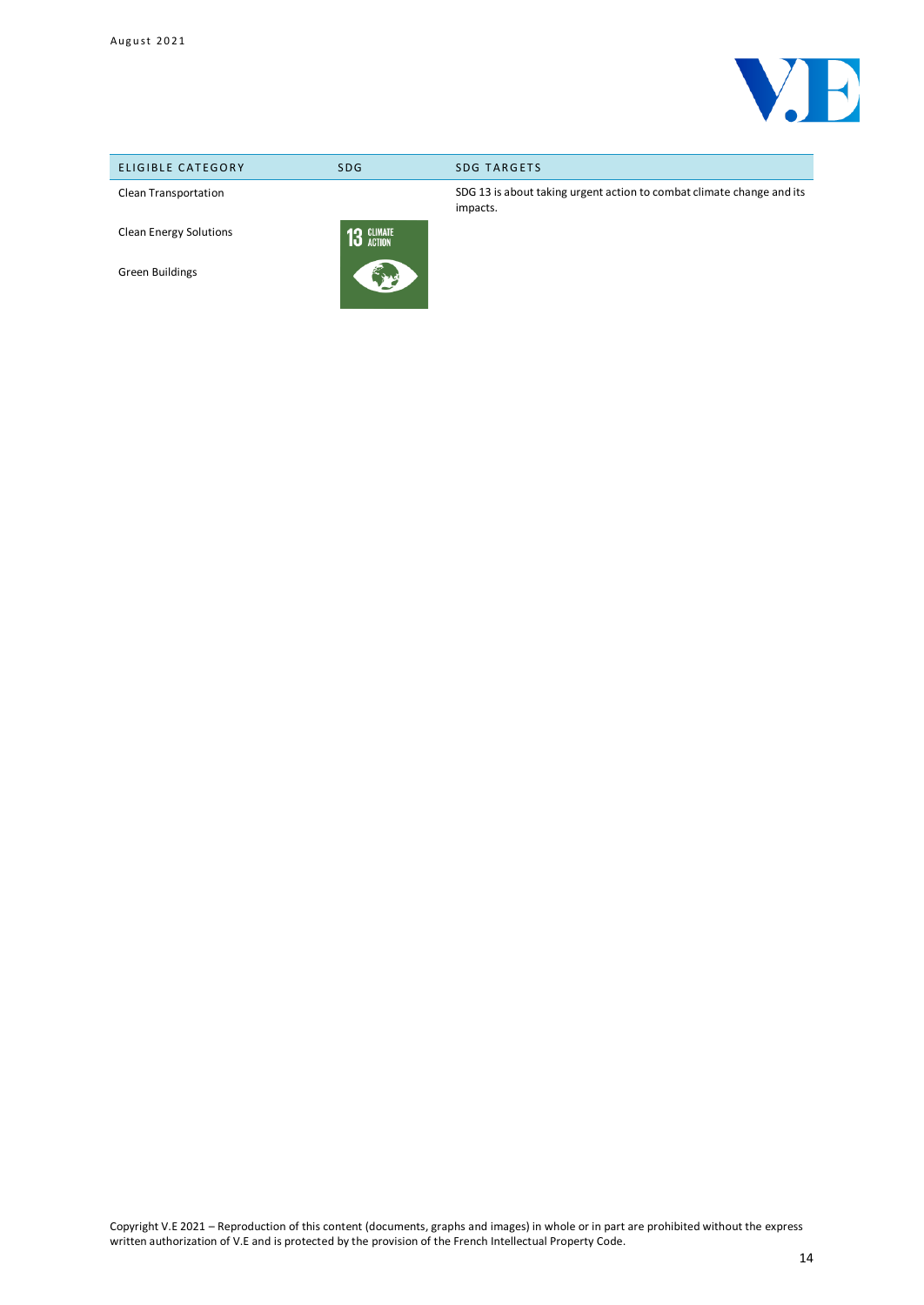

| ELIGIBLE CATEGORY             | <b>SDG</b>               | <b>SDG TARGETS</b>                                                                |
|-------------------------------|--------------------------|-----------------------------------------------------------------------------------|
| <b>Clean Transportation</b>   |                          | SDG 13 is about taking urgent action to combat climate change and its<br>impacts. |
| <b>Clean Energy Solutions</b> | <b>CLIMATE</b><br>Action |                                                                                   |
| Green Buildings               | كالمؤثرة                 |                                                                                   |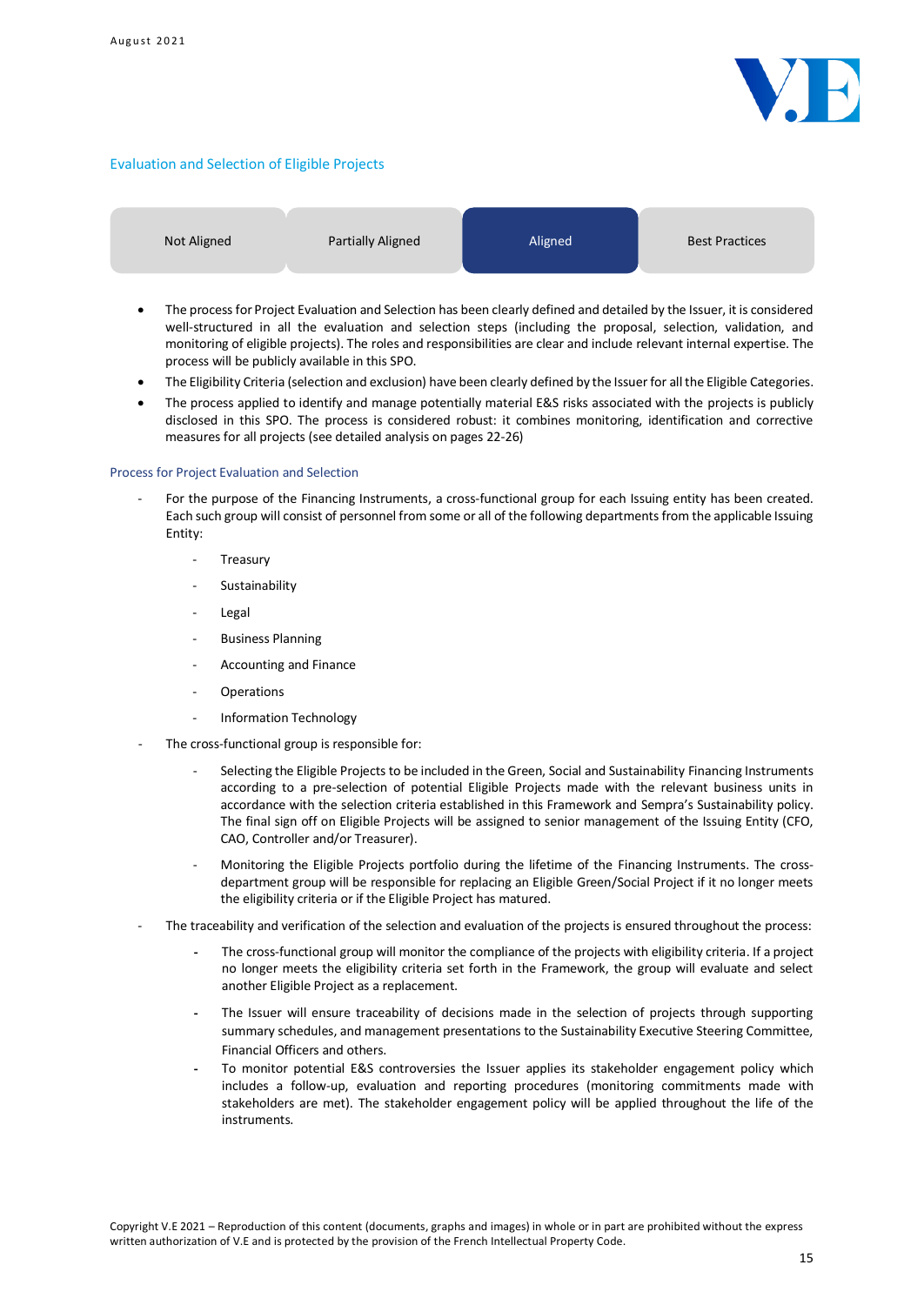

#### Evaluation and Selection of Eligible Projects



- The process for Project Evaluation and Selection has been clearly defined and detailed by the Issuer, it is considered well-structured in all the evaluation and selection steps (including the proposal, selection, validation, and monitoring of eligible projects). The roles and responsibilities are clear and include relevant internal expertise. The process will be publicly available in this SPO.
- The Eligibility Criteria (selection and exclusion) have been clearly defined by the Issuer for all the Eligible Categories.
- The process applied to identify and manage potentially material E&S risks associated with the projects is publicly disclosed in this SPO. The process is considered robust: it combines monitoring, identification and corrective measures for all projects (see detailed analysis on pages 22-26)

#### Process for Project Evaluation and Selection

- For the purpose of the Financing Instruments, a cross-functional group for each Issuing entity has been created. Each such group will consist of personnel from some or all of the following departments from the applicable Issuing Entity:
	- **Treasury**
	- Sustainability
	- **Legal**
	- **Business Planning**
	- Accounting and Finance
	- **Operations**
	- Information Technology
- The cross-functional group is responsible for:
	- Selecting the Eligible Projects to be included in the Green, Social and Sustainability Financing Instruments according to a pre-selection of potential Eligible Projects made with the relevant business units in accordance with the selection criteria established in this Framework and Sempra's Sustainability policy. The final sign off on Eligible Projects will be assigned to senior management of the Issuing Entity (CFO, CAO, Controller and/or Treasurer).
	- Monitoring the Eligible Projects portfolio during the lifetime of the Financing Instruments. The crossdepartment group will be responsible for replacing an Eligible Green/Social Project if it no longer meets the eligibility criteria or if the Eligible Project has matured.
- The traceability and verification of the selection and evaluation of the projects is ensured throughout the process:
	- The cross-functional group will monitor the compliance of the projects with eligibility criteria. If a project no longer meets the eligibility criteria set forth in the Framework, the group will evaluate and select another Eligible Project as a replacement.
	- The Issuer will ensure traceability of decisions made in the selection of projects through supporting summary schedules, and management presentations to the Sustainability Executive Steering Committee, Financial Officers and others.
	- To monitor potential E&S controversies the Issuer applies its stakeholder engagement policy which includes a follow-up, evaluation and reporting procedures (monitoring commitments made with stakeholders are met). The stakeholder engagement policy will be applied throughout the life of the instruments.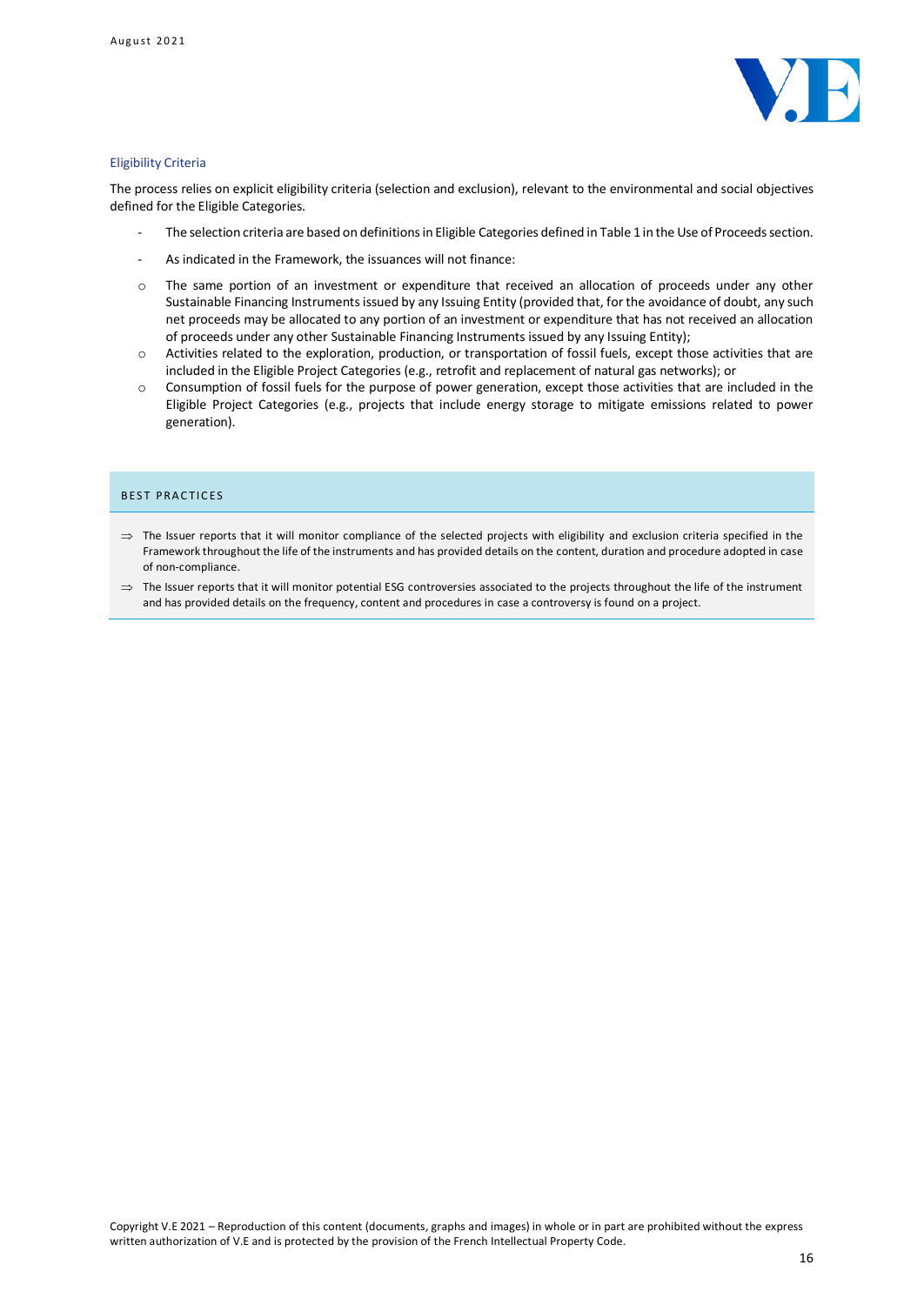

#### Eligibility Criteria

The process relies on explicit eligibility criteria (selection and exclusion), relevant to the environmental and social objectives defined for the Eligible Categories.

- The selection criteria are based on definitions in Eligible Categories defined in Table 1 in the Use of Proceeds section.
- As indicated in the Framework, the issuances will not finance:
- o The same portion of an investment or expenditure that received an allocation of proceeds under any other Sustainable Financing Instruments issued by any Issuing Entity (provided that, for the avoidance of doubt, any such net proceeds may be allocated to any portion of an investment or expenditure that has not received an allocation of proceeds under any other Sustainable Financing Instruments issued by any Issuing Entity);
- o Activities related to the exploration, production, or transportation of fossil fuels, except those activities that are included in the Eligible Project Categories (e.g., retrofit and replacement of natural gas networks); or
- o Consumption of fossil fuels for the purpose of power generation, except those activities that are included in the Eligible Project Categories (e.g., projects that include energy storage to mitigate emissions related to power generation).

#### BEST PRACTICES

- $\Rightarrow$  The Issuer reports that it will monitor compliance of the selected projects with eligibility and exclusion criteria specified in the Framework throughout the life of the instruments and has provided details on the content, duration and procedure adopted in case of non-compliance.
- $\Rightarrow$  The Issuer reports that it will monitor potential ESG controversies associated to the projects throughout the life of the instrument and has provided details on the frequency, content and procedures in case a controversy is found on a project.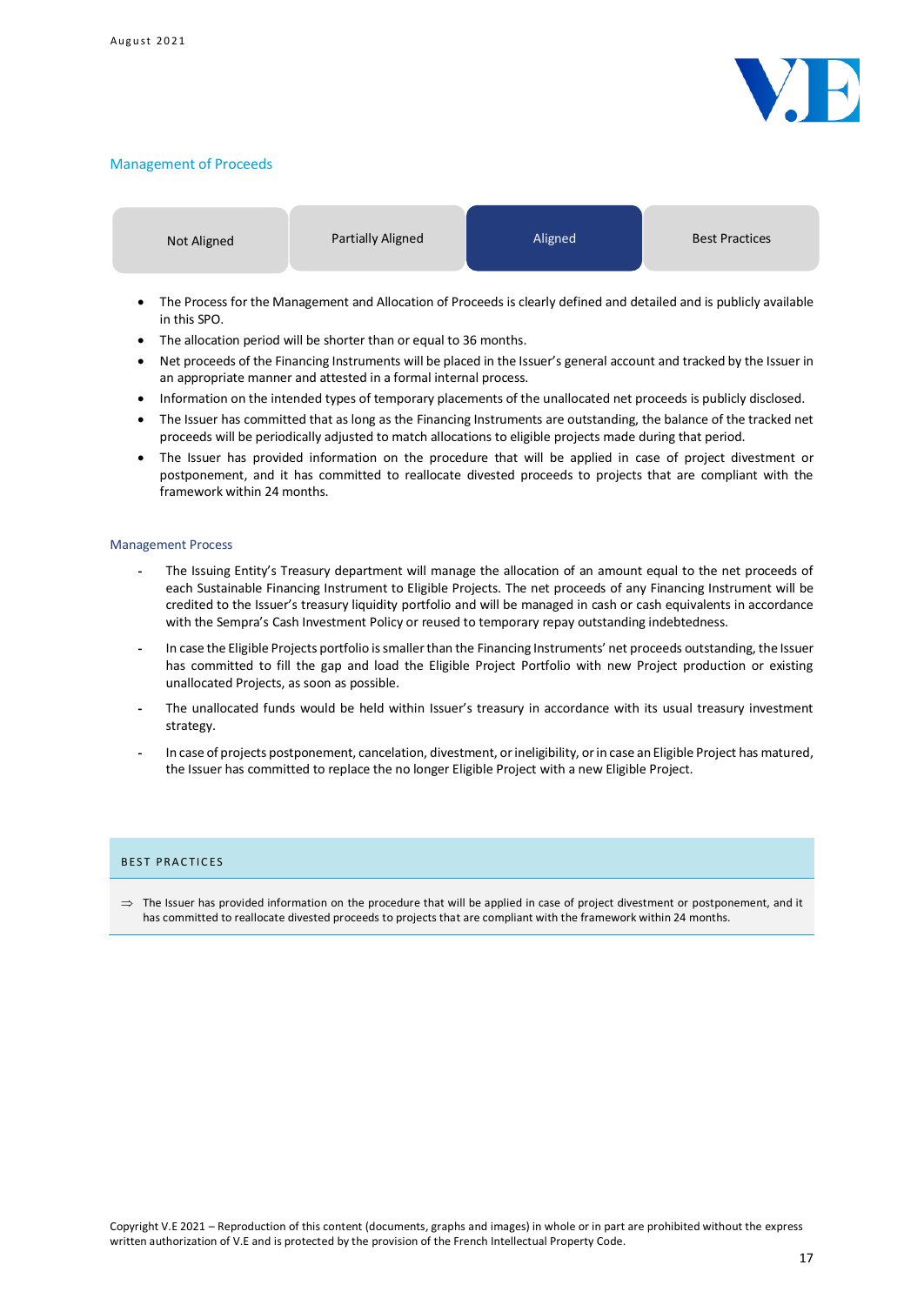

#### Management of Proceeds

| Not Aligned | <b>Partially Aligned</b> | Aligned | <b>Best Practices</b> |
|-------------|--------------------------|---------|-----------------------|
|             |                          |         |                       |

- The Process for the Management and Allocation of Proceeds is clearly defined and detailed and is publicly available in this SPO.
- The allocation period will be shorter than or equal to 36 months.
- Net proceeds of the Financing Instruments will be placed in the Issuer's general account and tracked by the Issuer in an appropriate manner and attested in a formal internal process.
- Information on the intended types of temporary placements of the unallocated net proceeds is publicly disclosed.
- The Issuer has committed that as long as the Financing Instruments are outstanding, the balance of the tracked net proceeds will be periodically adjusted to match allocations to eligible projects made during that period.
- The Issuer has provided information on the procedure that will be applied in case of project divestment or postponement, and it has committed to reallocate divested proceeds to projects that are compliant with the framework within 24 months.

#### Management Process

- The Issuing Entity's Treasury department will manage the allocation of an amount equal to the net proceeds of each Sustainable Financing Instrument to Eligible Projects. The net proceeds of any Financing Instrument will be credited to the Issuer's treasury liquidity portfolio and will be managed in cash or cash equivalents in accordance with the Sempra's Cash Investment Policy or reused to temporary repay outstanding indebtedness.
- In case the Eligible Projects portfolio is smaller than the Financing Instruments' net proceeds outstanding, the Issuer has committed to fill the gap and load the Eligible Project Portfolio with new Project production or existing unallocated Projects, as soon as possible.
- The unallocated funds would be held within Issuer's treasury in accordance with its usual treasury investment strategy.
- In case of projects postponement, cancelation, divestment, or ineligibility, or in case an Eligible Project has matured, the Issuer has committed to replace the no longer Eligible Project with a new Eligible Project.

#### BEST PRACTICES

 $\Rightarrow$  The Issuer has provided information on the procedure that will be applied in case of project divestment or postponement, and it has committed to reallocate divested proceeds to projects that are compliant with the framework within 24 months.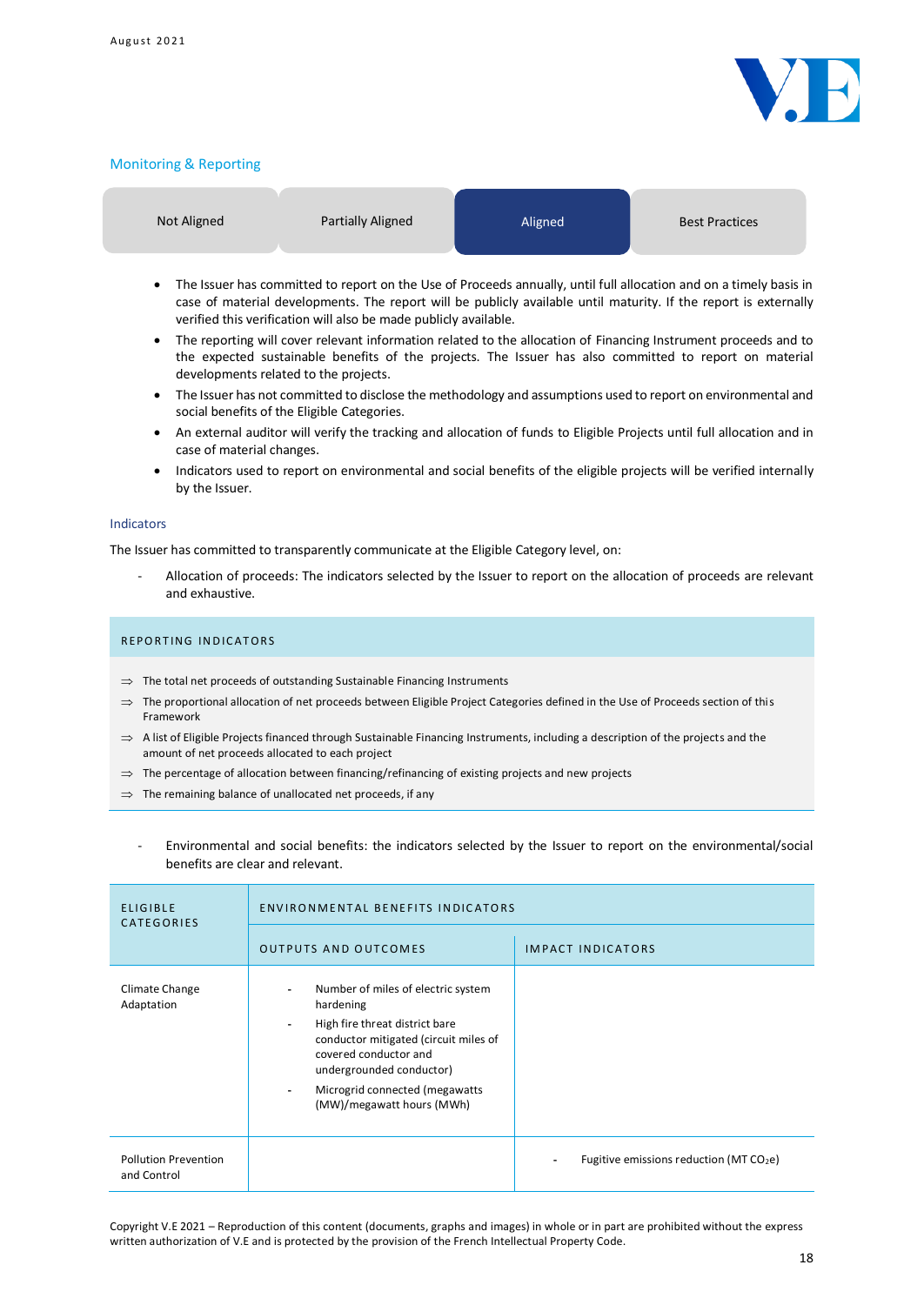

#### Monitoring & Reporting

| Not Aligned | Partially Aligned                                                | Aligned | <b>Best Practices</b>                                                                                                                                                                                                                  |  |
|-------------|------------------------------------------------------------------|---------|----------------------------------------------------------------------------------------------------------------------------------------------------------------------------------------------------------------------------------------|--|
| ٠           | verified this verification will also be made publicly available. |         | The Issuer has committed to report on the Use of Proceeds annually, until full allocation and on a timely basis in<br>case of material developments. The report will be publicly available until maturity. If the report is externally |  |

- The reporting will cover relevant information related to the allocation of Financing Instrument proceeds and to the expected sustainable benefits of the projects. The Issuer has also committed to report on material developments related to the projects.
- The Issuer has not committed to disclose the methodology and assumptions used to report on environmental and social benefits of the Eligible Categories.
- An external auditor will verify the tracking and allocation of funds to Eligible Projects until full allocation and in case of material changes.
- Indicators used to report on environmental and social benefits of the eligible projects will be verified internally by the Issuer.

#### Indicators

The Issuer has committed to transparently communicate at the Eligible Category level, on:

- Allocation of proceeds: The indicators selected by the Issuer to report on the allocation of proceeds are relevant and exhaustive.

#### REPORTING INDICATORS

- $\Rightarrow$  The total net proceeds of outstanding Sustainable Financing Instruments
- $\Rightarrow$  The proportional allocation of net proceeds between Eligible Project Categories defined in the Use of Proceeds section of this Framework
- $\Rightarrow$  A list of Eligible Projects financed through Sustainable Financing Instruments, including a description of the projects and the amount of net proceeds allocated to each project
- $\Rightarrow$  The percentage of allocation between financing/refinancing of existing projects and new projects
- $\Rightarrow$  The remaining balance of unallocated net proceeds, if any
	- Environmental and social benefits: the indicators selected by the Issuer to report on the environmental/social benefits are clear and relevant.

| <b>ELIGIBLE</b><br><b>CATEGORIES</b>       | ENVIRONMENTAL BENEFITS INDICATORS                                                                                                                                                                                                                                                    |                                           |  |  |  |
|--------------------------------------------|--------------------------------------------------------------------------------------------------------------------------------------------------------------------------------------------------------------------------------------------------------------------------------------|-------------------------------------------|--|--|--|
|                                            | <b>OUTPUTS AND OUTCOMES</b>                                                                                                                                                                                                                                                          | <b>IMPACT INDICATORS</b>                  |  |  |  |
| Climate Change<br>Adaptation               | Number of miles of electric system<br>$\overline{\phantom{0}}$<br>hardening<br>High fire threat district bare<br>٠<br>conductor mitigated (circuit miles of<br>covered conductor and<br>undergrounded conductor)<br>Microgrid connected (megawatts<br>۰<br>(MW)/megawatt hours (MWh) |                                           |  |  |  |
| <b>Pollution Prevention</b><br>and Control |                                                                                                                                                                                                                                                                                      | Fugitive emissions reduction (MT $CO2e$ ) |  |  |  |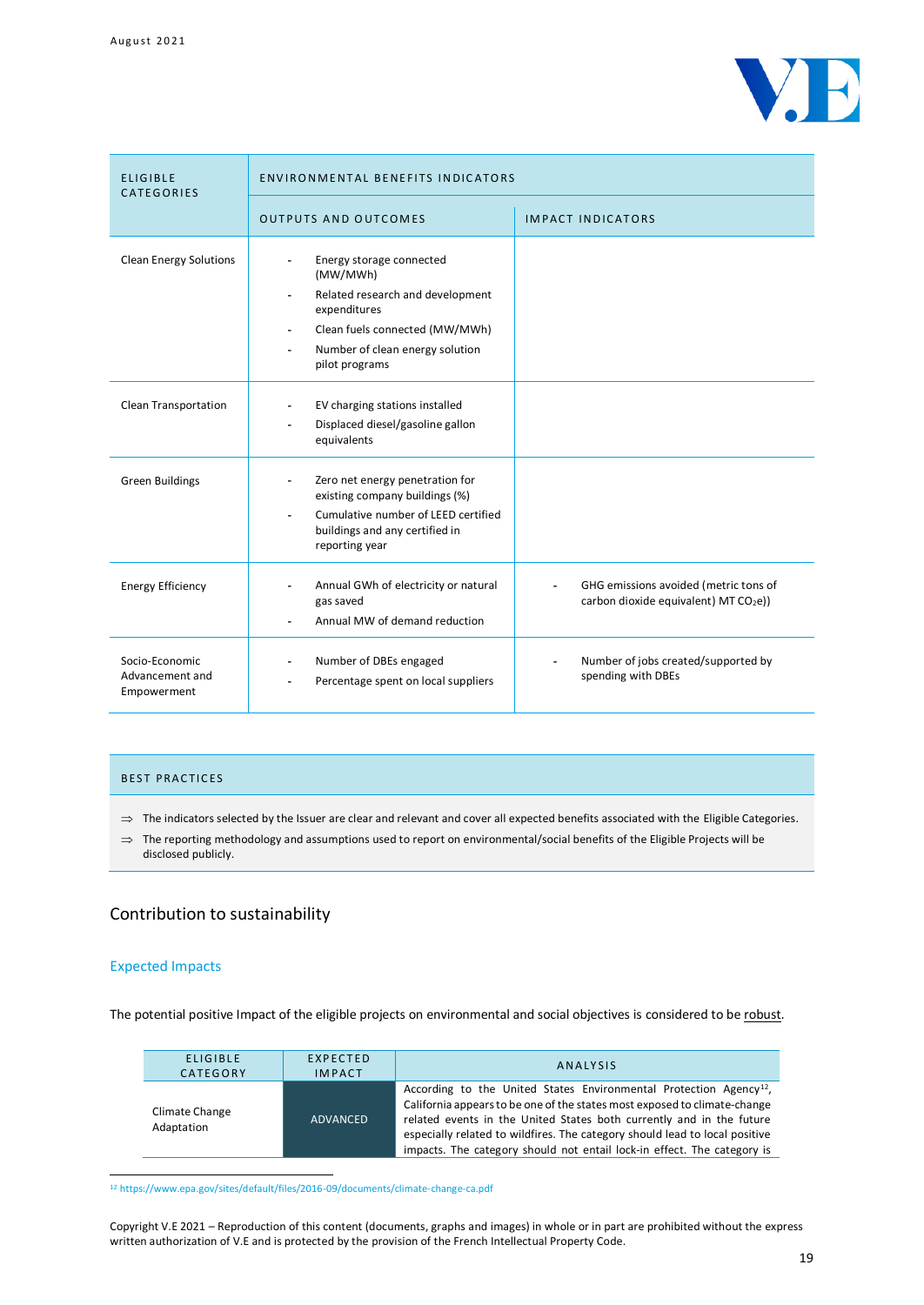

| <b>ELIGIBLE</b><br><b>CATEGORIES</b>             | <b>ENVIRONMENTAL BENEFITS INDICATORS</b>                                                                                                                                                                                      |                                                                                            |  |
|--------------------------------------------------|-------------------------------------------------------------------------------------------------------------------------------------------------------------------------------------------------------------------------------|--------------------------------------------------------------------------------------------|--|
|                                                  | <b>OUTPUTS AND OUTCOMES</b>                                                                                                                                                                                                   | <b>IMPACT INDICATORS</b>                                                                   |  |
| <b>Clean Energy Solutions</b>                    | Energy storage connected<br>$\blacksquare$<br>(MW/MWh)<br>Related research and development<br>$\blacksquare$<br>expenditures<br>Clean fuels connected (MW/MWh)<br>٠<br>Number of clean energy solution<br>٠<br>pilot programs |                                                                                            |  |
| Clean Transportation                             | EV charging stations installed<br>Displaced diesel/gasoline gallon<br>equivalents                                                                                                                                             |                                                                                            |  |
| <b>Green Buildings</b>                           | Zero net energy penetration for<br>existing company buildings (%)<br>Cumulative number of LEED certified<br>buildings and any certified in<br>reporting year                                                                  |                                                                                            |  |
| <b>Energy Efficiency</b>                         | Annual GWh of electricity or natural<br>gas saved<br>Annual MW of demand reduction                                                                                                                                            | GHG emissions avoided (metric tons of<br>carbon dioxide equivalent) MT CO <sub>2</sub> e)) |  |
| Socio-Economic<br>Advancement and<br>Empowerment | Number of DBEs engaged<br>Percentage spent on local suppliers                                                                                                                                                                 | Number of jobs created/supported by<br>spending with DBEs                                  |  |

#### BEST PRACTICES

- $\Rightarrow$  The indicators selected by the Issuer are clear and relevant and cover all expected benefits associated with the Eligible Categories.
- $\Rightarrow$  The reporting methodology and assumptions used to report on environmental/social benefits of the Eligible Projects will be disclosed publicly.

## Contribution to sustainability

### Expected Impacts

The potential positive Impact of the eligible projects on environmental and social objectives is considered to be robust.

| ELIGIBLE<br>CATEGORY         | EXPECTED<br><b>IMPACT</b> | ANALYSIS                                                                                                                                                                                                                                                                                                                                                                                      |
|------------------------------|---------------------------|-----------------------------------------------------------------------------------------------------------------------------------------------------------------------------------------------------------------------------------------------------------------------------------------------------------------------------------------------------------------------------------------------|
| Climate Change<br>Adaptation | ADVANCED                  | According to the United States Environmental Protection Agency <sup>12</sup> ,<br>California appears to be one of the states most exposed to climate-change<br>related events in the United States both currently and in the future<br>especially related to wildfires. The category should lead to local positive<br>impacts. The category should not entail lock-in effect. The category is |

<sup>12</sup> https://www.epa.gov/sites/default/files/2016-09/documents/climate-change-ca.pdf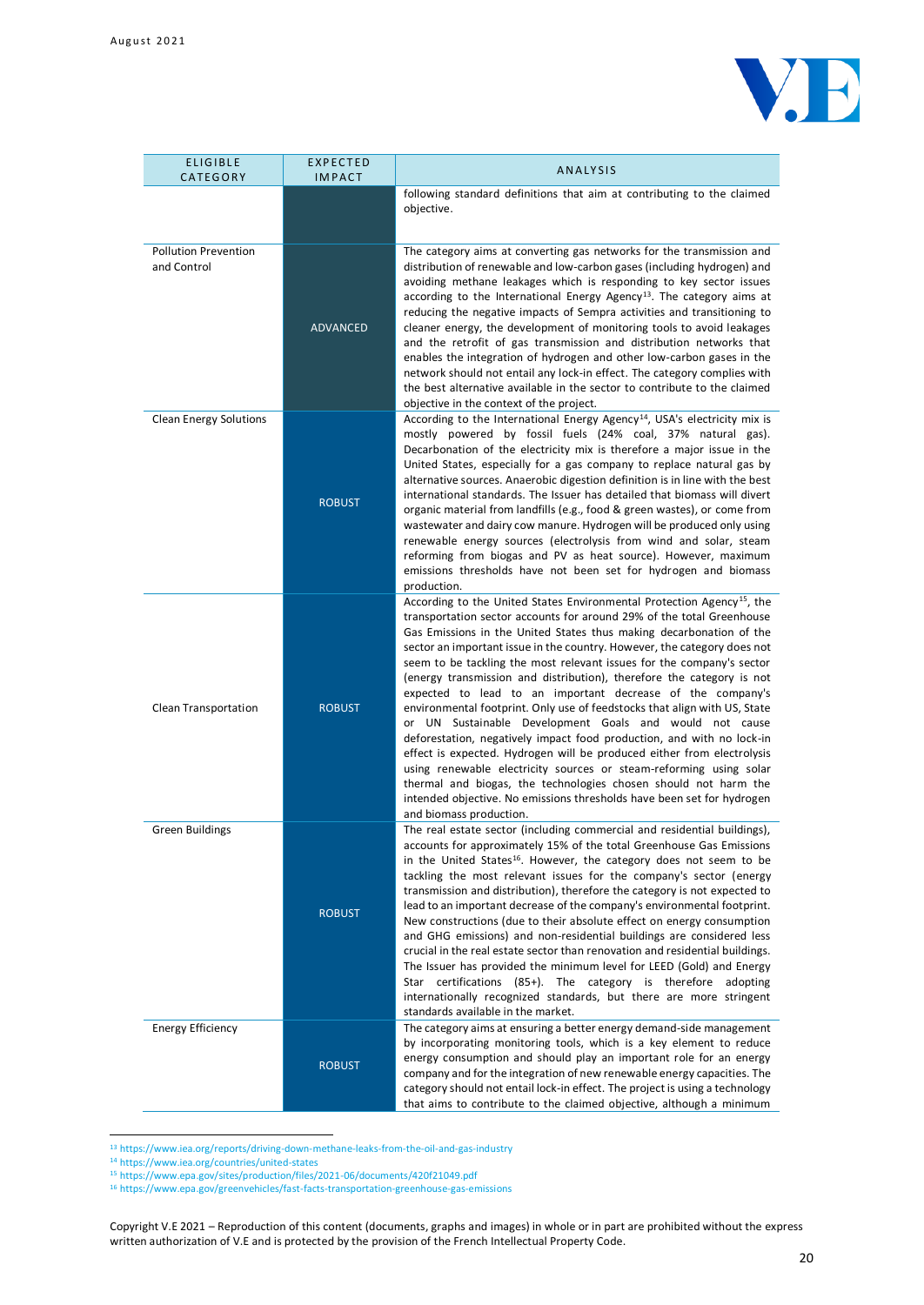

| <b>ELIGIBLE</b><br>CATEGORY                | <b>EXPECTED</b><br><b>IMPACT</b> | ANALYSIS                                                                                                                                                                                                                                                                                                                                                                                                                                                                                                                                                                                                                                                                                                                                                                                                                                                                                                                                                                                                                                                                |
|--------------------------------------------|----------------------------------|-------------------------------------------------------------------------------------------------------------------------------------------------------------------------------------------------------------------------------------------------------------------------------------------------------------------------------------------------------------------------------------------------------------------------------------------------------------------------------------------------------------------------------------------------------------------------------------------------------------------------------------------------------------------------------------------------------------------------------------------------------------------------------------------------------------------------------------------------------------------------------------------------------------------------------------------------------------------------------------------------------------------------------------------------------------------------|
|                                            |                                  | following standard definitions that aim at contributing to the claimed<br>objective.                                                                                                                                                                                                                                                                                                                                                                                                                                                                                                                                                                                                                                                                                                                                                                                                                                                                                                                                                                                    |
| <b>Pollution Prevention</b><br>and Control | <b>ADVANCED</b>                  | The category aims at converting gas networks for the transmission and<br>distribution of renewable and low-carbon gases (including hydrogen) and<br>avoiding methane leakages which is responding to key sector issues<br>according to the International Energy Agency <sup>13</sup> . The category aims at<br>reducing the negative impacts of Sempra activities and transitioning to<br>cleaner energy, the development of monitoring tools to avoid leakages<br>and the retrofit of gas transmission and distribution networks that<br>enables the integration of hydrogen and other low-carbon gases in the<br>network should not entail any lock-in effect. The category complies with<br>the best alternative available in the sector to contribute to the claimed<br>objective in the context of the project.                                                                                                                                                                                                                                                    |
| <b>Clean Energy Solutions</b>              | <b>ROBUST</b>                    | According to the International Energy Agency <sup>14</sup> , USA's electricity mix is<br>mostly powered by fossil fuels (24% coal, 37% natural gas).<br>Decarbonation of the electricity mix is therefore a major issue in the<br>United States, especially for a gas company to replace natural gas by<br>alternative sources. Anaerobic digestion definition is in line with the best<br>international standards. The Issuer has detailed that biomass will divert<br>organic material from landfills (e.g., food & green wastes), or come from<br>wastewater and dairy cow manure. Hydrogen will be produced only using<br>renewable energy sources (electrolysis from wind and solar, steam<br>reforming from biogas and PV as heat source). However, maximum<br>emissions thresholds have not been set for hydrogen and biomass<br>production.                                                                                                                                                                                                                     |
| Clean Transportation                       | <b>ROBUST</b>                    | According to the United States Environmental Protection Agency <sup>15</sup> , the<br>transportation sector accounts for around 29% of the total Greenhouse<br>Gas Emissions in the United States thus making decarbonation of the<br>sector an important issue in the country. However, the category does not<br>seem to be tackling the most relevant issues for the company's sector<br>(energy transmission and distribution), therefore the category is not<br>expected to lead to an important decrease of the company's<br>environmental footprint. Only use of feedstocks that align with US, State<br>or UN Sustainable Development Goals and would not cause<br>deforestation, negatively impact food production, and with no lock-in<br>effect is expected. Hydrogen will be produced either from electrolysis<br>using renewable electricity sources or steam-reforming using solar<br>thermal and biogas, the technologies chosen should not harm the<br>intended objective. No emissions thresholds have been set for hydrogen<br>and biomass production. |
| Green Buildings                            | <b>ROBUST</b>                    | The real estate sector (including commercial and residential buildings),<br>accounts for approximately 15% of the total Greenhouse Gas Emissions<br>in the United States <sup>16</sup> . However, the category does not seem to be<br>tackling the most relevant issues for the company's sector (energy<br>transmission and distribution), therefore the category is not expected to<br>lead to an important decrease of the company's environmental footprint.<br>New constructions (due to their absolute effect on energy consumption<br>and GHG emissions) and non-residential buildings are considered less<br>crucial in the real estate sector than renovation and residential buildings.<br>The Issuer has provided the minimum level for LEED (Gold) and Energy<br>Star certifications (85+). The category is therefore adopting<br>internationally recognized standards, but there are more stringent<br>standards available in the market.                                                                                                                  |
| <b>Energy Efficiency</b>                   | <b>ROBUST</b>                    | The category aims at ensuring a better energy demand-side management<br>by incorporating monitoring tools, which is a key element to reduce<br>energy consumption and should play an important role for an energy<br>company and for the integration of new renewable energy capacities. The<br>category should not entail lock-in effect. The project is using a technology<br>that aims to contribute to the claimed objective, although a minimum                                                                                                                                                                                                                                                                                                                                                                                                                                                                                                                                                                                                                    |

<sup>13</sup> https://www.iea.org/reports/driving-down-methane-leaks-from-the-oil-and-gas-industry

<sup>14</sup> https://www.iea.org/countries/united-states

<sup>15</sup> https://www.epa.gov/sites/production/files/2021-06/documents/420f21049.pdf

<sup>&</sup>lt;sup>16</sup> https://www.epa.gov/greenvehicles/fast-facts-transportation-greenhouse-gas-emissions

Copyright V.E 2021 – Reproduction of this content (documents, graphs and images) in whole or in part are prohibited without the express written authorization of V.E and is protected by the provision of the French Intellectual Property Code.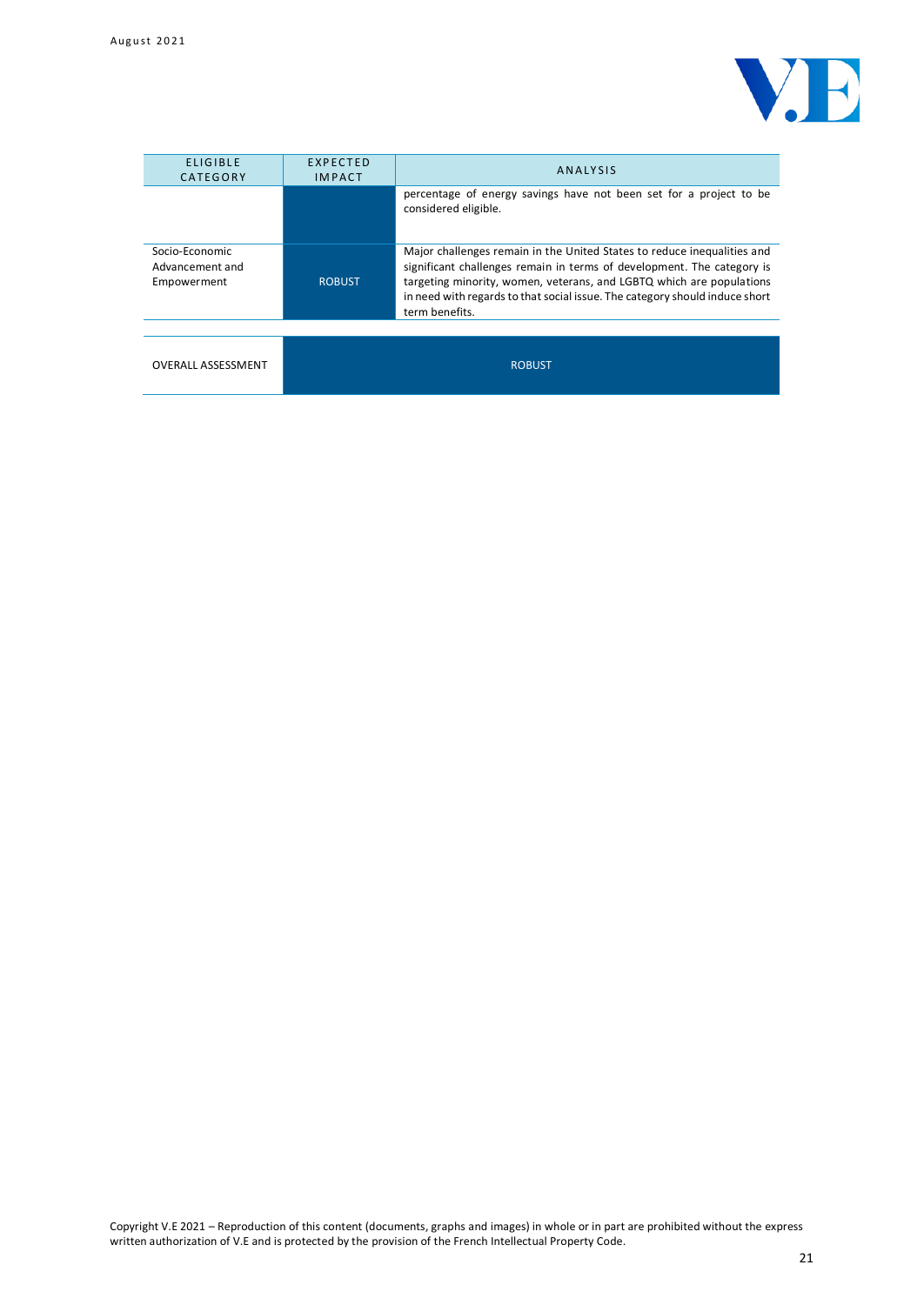

| ELIGIBLE<br>CATEGORY              | EXPECTED<br><b>IMPACT</b> | ANALYSIS                                                                                                                                                              |
|-----------------------------------|---------------------------|-----------------------------------------------------------------------------------------------------------------------------------------------------------------------|
|                                   |                           | percentage of energy savings have not been set for a project to be<br>considered eligible.                                                                            |
| Socio-Economic<br>Advancement and |                           | Major challenges remain in the United States to reduce inequalities and<br>significant challenges remain in terms of development. The category is                     |
| Empowerment                       | <b>ROBUST</b>             | targeting minority, women, veterans, and LGBTQ which are populations<br>in need with regards to that social issue. The category should induce short<br>term benefits. |
|                                   |                           |                                                                                                                                                                       |
| <b>OVERALL ASSESSMENT</b>         | <b>ROBUST</b>             |                                                                                                                                                                       |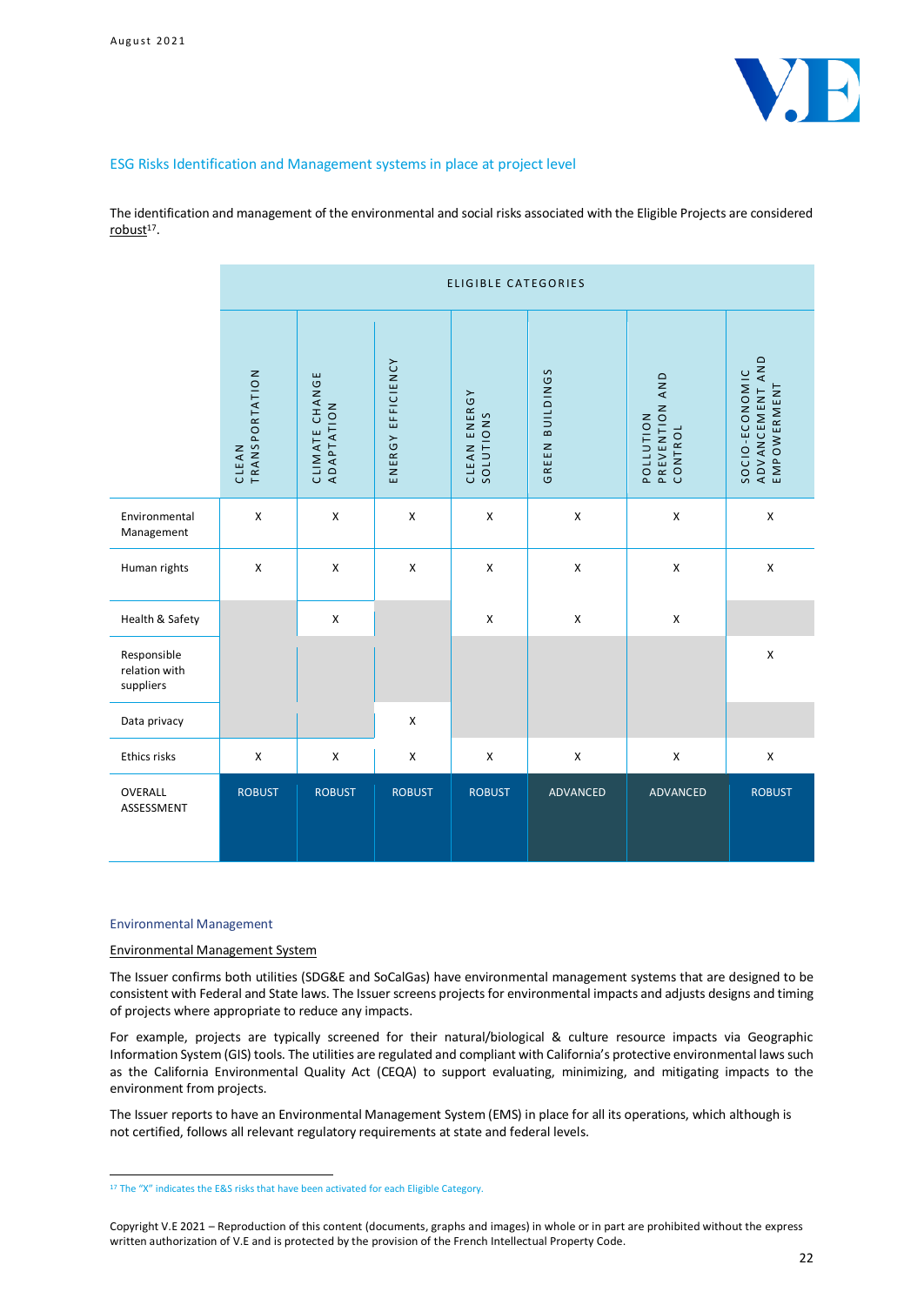

### ESG Risks Identification and Management systems in place at project level

The identification and management of the environmental and social risks associated with the Eligible Projects are considered <u>robust</u>17.

|                                           | <b>ELIGIBLE CATEGORIES</b> |                                 |                      |                                   |                           |                                           |                                                  |
|-------------------------------------------|----------------------------|---------------------------------|----------------------|-----------------------------------|---------------------------|-------------------------------------------|--------------------------------------------------|
|                                           | TRANSPORTATION<br>CLEAN    | CHANGE<br>ADAPTATION<br>CLIMATE | EFFICIENCY<br>ENERGY | ENERGY<br>CLEAN ENER<br>SOLUTIONS | <b>BUILDINGS</b><br>GREEN | AND<br>POLLUTION<br>PREVENTION<br>CONTROL | ADVANCEMENT AND<br>EMPOWERMENT<br>SOCIO-ECONOMIC |
| Environmental<br>Management               | X                          | $\pmb{\mathsf{X}}$              | X                    | X                                 | $\pmb{\mathsf{X}}$        | $\pmb{\mathsf{X}}$                        | $\pmb{\mathsf{X}}$                               |
| Human rights                              | X                          | X                               | X                    | X                                 | $\pmb{\times}$            | $\pmb{\times}$                            | $\pmb{\times}$                                   |
| Health & Safety                           |                            | X                               |                      | X                                 | X                         | $\pmb{\mathsf{X}}$                        |                                                  |
| Responsible<br>relation with<br>suppliers |                            |                                 |                      |                                   |                           |                                           | $\pmb{\mathsf{X}}$                               |
| Data privacy                              |                            |                                 | $\pmb{\mathsf{X}}$   |                                   |                           |                                           |                                                  |
| Ethics risks                              | X                          | $\pmb{\times}$                  | X                    | X                                 | X                         | $\pmb{\mathsf{X}}$                        | X                                                |
| OVERALL<br>ASSESSMENT                     | <b>ROBUST</b>              | <b>ROBUST</b>                   | <b>ROBUST</b>        | <b>ROBUST</b>                     | ADVANCED                  | ADVANCED                                  | <b>ROBUST</b>                                    |

#### Environmental Management

#### Environmental Management System

The Issuer confirms both utilities (SDG&E and SoCalGas) have environmental management systems that are designed to be consistent with Federal and State laws. The Issuer screens projects for environmental impacts and adjusts designs and timing of projects where appropriate to reduce any impacts.

For example, projects are typically screened for their natural/biological & culture resource impacts via Geographic Information System (GIS) tools. The utilities are regulated and compliant with California's protective environmental laws such as the California Environmental Quality Act (CEQA) to support evaluating, minimizing, and mitigating impacts to the environment from projects.

The Issuer reports to have an Environmental Management System (EMS) in place for all its operations, which although is not certified, follows all relevant regulatory requirements at state and federal levels.

<sup>&</sup>lt;sup>17</sup> The "X" indicates the E&S risks that have been activated for each Eligible Category.

Copyright V.E 2021 – Reproduction of this content (documents, graphs and images) in whole or in part are prohibited without the express written authorization of V.E and is protected by the provision of the French Intellectual Property Code.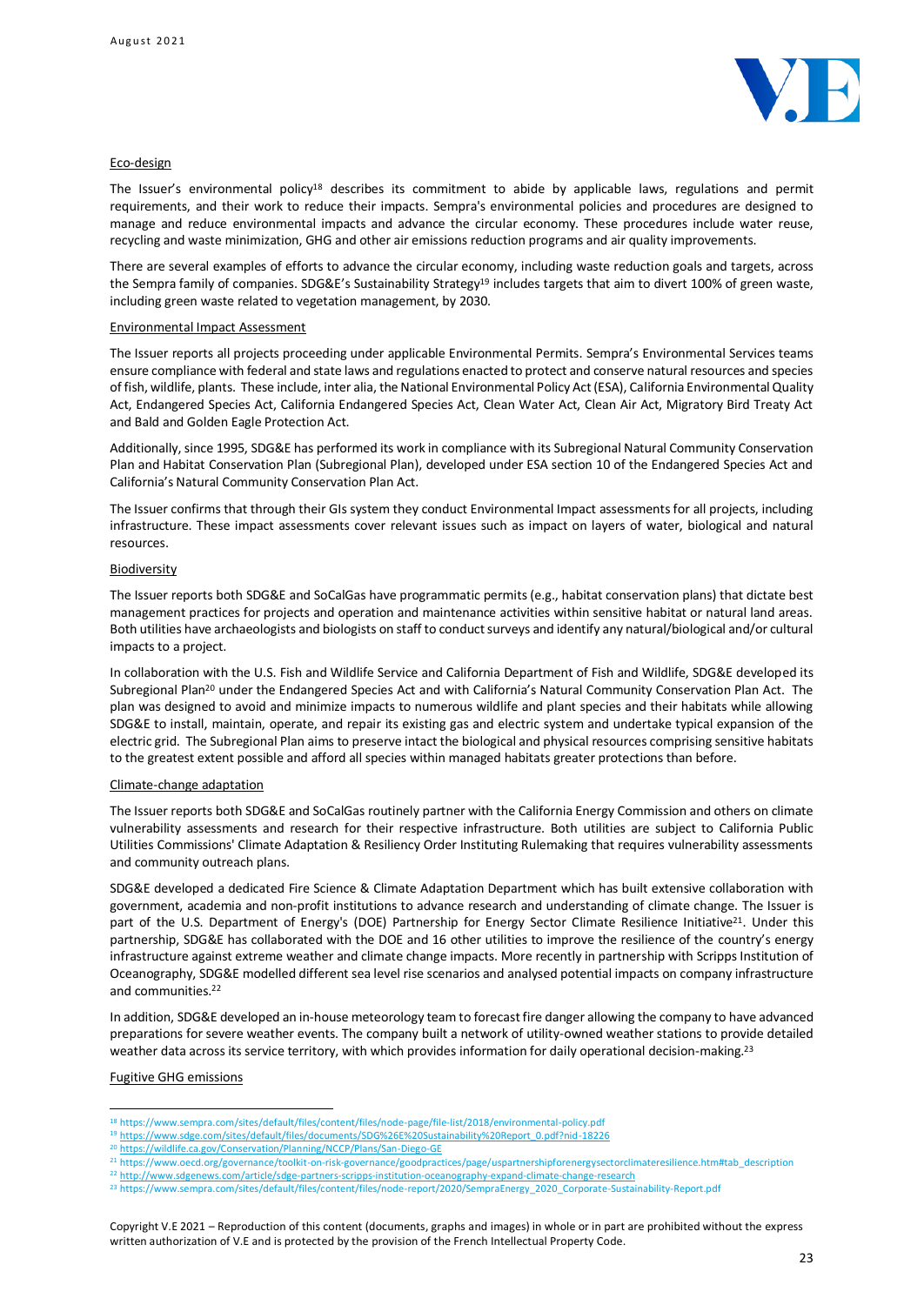

#### Eco-design

The Issuer's environmental policy<sup>18</sup> describes its commitment to abide by applicable laws, regulations and permit requirements, and their work to reduce their impacts. Sempra's environmental policies and procedures are designed to manage and reduce environmental impacts and advance the circular economy. These procedures include water reuse, recycling and waste minimization, GHG and other air emissions reduction programs and air quality improvements.

There are several examples of efforts to advance the circular economy, including waste reduction goals and targets, across the Sempra family of companies. SDG&E's Sustainability Strategy<sup>19</sup> includes targets that aim to divert 100% of green waste, including green waste related to vegetation management, by 2030.

#### Environmental Impact Assessment

The Issuer reports all projects proceeding under applicable Environmental Permits. Sempra's Environmental Services teams ensure compliance with federal and state laws and regulations enacted to protect and conserve natural resources and species of fish, wildlife, plants. These include, inter alia, the National Environmental Policy Act (ESA), California Environmental Quality Act, Endangered Species Act, California Endangered Species Act, Clean Water Act, Clean Air Act, Migratory Bird Treaty Act and Bald and Golden Eagle Protection Act.

Additionally, since 1995, SDG&E has performed its work in compliance with its Subregional Natural Community Conservation Plan and Habitat Conservation Plan (Subregional Plan), developed under ESA section 10 of the Endangered Species Act and California's Natural Community Conservation Plan Act.

The Issuer confirms that through their GIs system they conduct Environmental Impact assessments for all projects, including infrastructure. These impact assessments cover relevant issues such as impact on layers of water, biological and natural resources.

#### Biodiversity

The Issuer reports both SDG&E and SoCalGas have programmatic permits (e.g., habitat conservation plans) that dictate best management practices for projects and operation and maintenance activities within sensitive habitat or natural land areas. Both utilities have archaeologists and biologists on staff to conduct surveys and identify any natural/biological and/or cultural impacts to a project.

In collaboration with the U.S. Fish and Wildlife Service and California Department of Fish and Wildlife, SDG&E developed its Subregional Plan<sup>20</sup> under the Endangered Species Act and with California's Natural Community Conservation Plan Act. The plan was designed to avoid and minimize impacts to numerous wildlife and plant species and their habitats while allowing SDG&E to install, maintain, operate, and repair its existing gas and electric system and undertake typical expansion of the electric grid. The Subregional Plan aims to preserve intact the biological and physical resources comprising sensitive habitats to the greatest extent possible and afford all species within managed habitats greater protections than before.

#### Climate-change adaptation

The Issuer reports both SDG&E and SoCalGas routinely partner with the California Energy Commission and others on climate vulnerability assessments and research for their respective infrastructure. Both utilities are subject to California Public Utilities Commissions' Climate Adaptation & Resiliency Order Instituting Rulemaking that requires vulnerability assessments and community outreach plans.

SDG&E developed a dedicated Fire Science & Climate Adaptation Department which has built extensive collaboration with government, academia and non-profit institutions to advance research and understanding of climate change. The Issuer is part of the U.S. Department of Energy's (DOE) Partnership for Energy Sector Climate Resilience Initiative<sup>21</sup>. Under this partnership, SDG&E has collaborated with the DOE and 16 other utilities to improve the resilience of the country's energy infrastructure against extreme weather and climate change impacts. More recently in partnership with Scripps Institution of Oceanography, SDG&E modelled different sea level rise scenarios and analysed potential impacts on company infrastructure and communities.<sup>22</sup>

In addition, SDG&E developed an in-house meteorology team to forecast fire danger allowing the company to have advanced preparations for severe weather events. The company built a network of utility-owned weather stations to provide detailed weather data across its service territory, with which provides information for daily operational decision-making.<sup>23</sup>

#### Fugitive GHG emissions

<sup>20</sup> <https://wildlife.ca.gov/Conservation/Planning/NCCP/Plans/San-Diego-GE>

<sup>22</sup> <http://www.sdgenews.com/article/sdge-partners-scripps-institution-oceanography-expand-climate-change-research>

<sup>18</sup> https://www.sempra.com/sites/default/files/content/files/node-page/file-list/2018/environmental-policy.pdf

<sup>19</sup> [https://www.sdge.com/sites/default/files/documents/SDG%26E%20Sustainability%20Report\\_0.pdf?nid-18226](https://www.sdge.com/sites/default/files/documents/SDG%26E%20Sustainability%20Report_0.pdf?nid-18226)

<sup>21</sup> https://www.oecd.org/governance/toolkit-on-risk-governance/goodpractices/page/uspartnershipforenergysectorclimateresilience.htm#tab\_description

<sup>23</sup> https://www.sempra.com/sites/default/files/content/files/node-report/2020/SempraEnergy\_2020\_Corporate-Sustainability-Report.pdf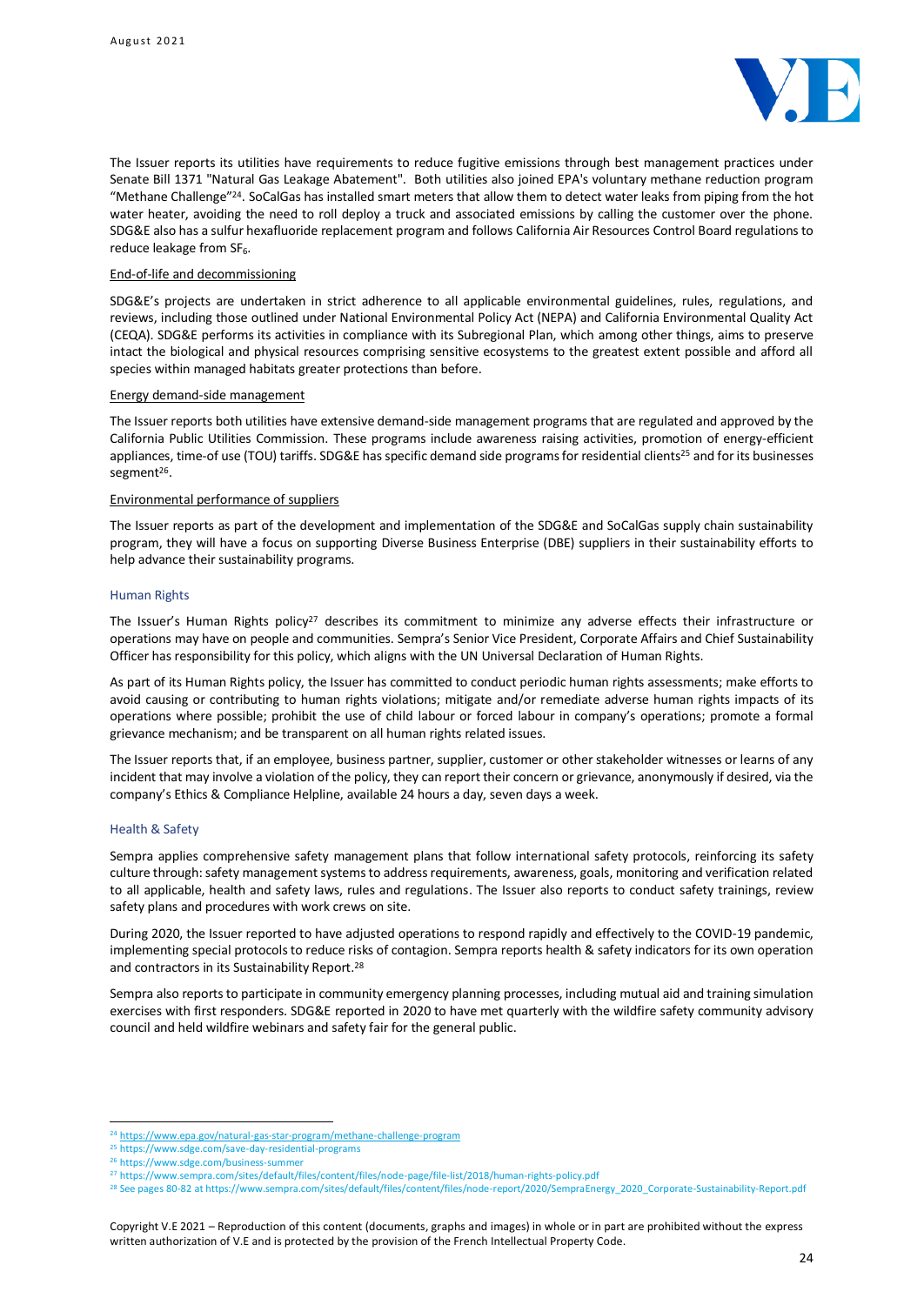

The Issuer reports its utilities have requirements to reduce fugitive emissions through best management practices under Senate Bill 1371 "Natural Gas Leakage Abatement". Both utilities also joined EPA's voluntary methane reduction program "Methane Challenge"<sup>24</sup> . SoCalGas has installed smart meters that allow them to detect water leaks from piping from the hot water heater, avoiding the need to roll deploy a truck and associated emissions by calling the customer over the phone. SDG&E also has a sulfur hexafluoride replacement program and follows California Air Resources Control Board regulations to reduce leakage from SF<sub>6</sub>.

#### End-of-life and decommissioning

SDG&E's projects are undertaken in strict adherence to all applicable environmental guidelines, rules, regulations, and reviews, including those outlined under National Environmental Policy Act (NEPA) and California Environmental Quality Act (CEQA). SDG&E performs its activities in compliance with its Subregional Plan, which among other things, aims to preserve intact the biological and physical resources comprising sensitive ecosystems to the greatest extent possible and afford all species within managed habitats greater protections than before.

#### Energy demand-side management

The Issuer reports both utilities have extensive demand-side management programs that are regulated and approved by the California Public Utilities Commission. These programs include awareness raising activities, promotion of energy-efficient appliances, time-of use (TOU) tariffs. SDG&E has specific demand side programs for residential clients<sup>25</sup> and for its businesses segment<sup>26</sup>.

#### Environmental performance of suppliers

The Issuer reports as part of the development and implementation of the SDG&E and SoCalGas supply chain sustainability program, they will have a focus on supporting Diverse Business Enterprise (DBE) suppliers in their sustainability efforts to help advance their sustainability programs.

#### Human Rights

The Issuer's Human Rights policy<sup>27</sup> describes its commitment to minimize any adverse effects their infrastructure or operations may have on people and communities. Sempra's Senior Vice President, Corporate Affairs and Chief Sustainability Officer has responsibility for this policy, which aligns with the UN Universal Declaration of Human Rights.

As part of its Human Rights policy, the Issuer has committed to conduct periodic human rights assessments; make efforts to avoid causing or contributing to human rights violations; mitigate and/or remediate adverse human rights impacts of its operations where possible; prohibit the use of child labour or forced labour in company's operations; promote a formal grievance mechanism; and be transparent on all human rights related issues.

The Issuer reports that, if an employee, business partner, supplier, customer or other stakeholder witnesses or learns of any incident that may involve a violation of the policy, they can report their concern or grievance, anonymously if desired, via the company's Ethics & Compliance Helpline, available 24 hours a day, seven days a week.

#### Health & Safety

Sempra applies comprehensive safety management plans that follow international safety protocols, reinforcing its safety culture through: safety management systems to address requirements, awareness, goals, monitoring and verification related to all applicable, health and safety laws, rules and regulations. The Issuer also reports to conduct safety trainings, review safety plans and procedures with work crews on site.

During 2020, the Issuer reported to have adjusted operations to respond rapidly and effectively to the COVID-19 pandemic, implementing special protocols to reduce risks of contagion. Sempra reports health & safety indicators for its own operation and contractors in its Sustainability Report.<sup>28</sup>

Sempra also reports to participate in community emergency planning processes, including mutual aid and training simulation exercises with first responders. SDG&E reported in 2020 to have met quarterly with the wildfire safety community advisory council and held wildfire webinars and safety fair for the general public.

<sup>24</sup> <https://www.epa.gov/natural-gas-star-program/methane-challenge-program>

<sup>25</sup> https://www.sdge.com/save-day-residential-programs

<sup>26</sup> https://www.sdge.com/business-summer

<sup>27</sup> https://www.sempra.com/sites/default/files/content/files/node-page/file-list/2018/human-rights-policy.pdf

<sup>28</sup> See pages 80-82 at https://www.sempra.com/sites/default/files/content/files/node-report/2020/SempraEnergy\_2020\_Corporate-Sustainability-Report.pdf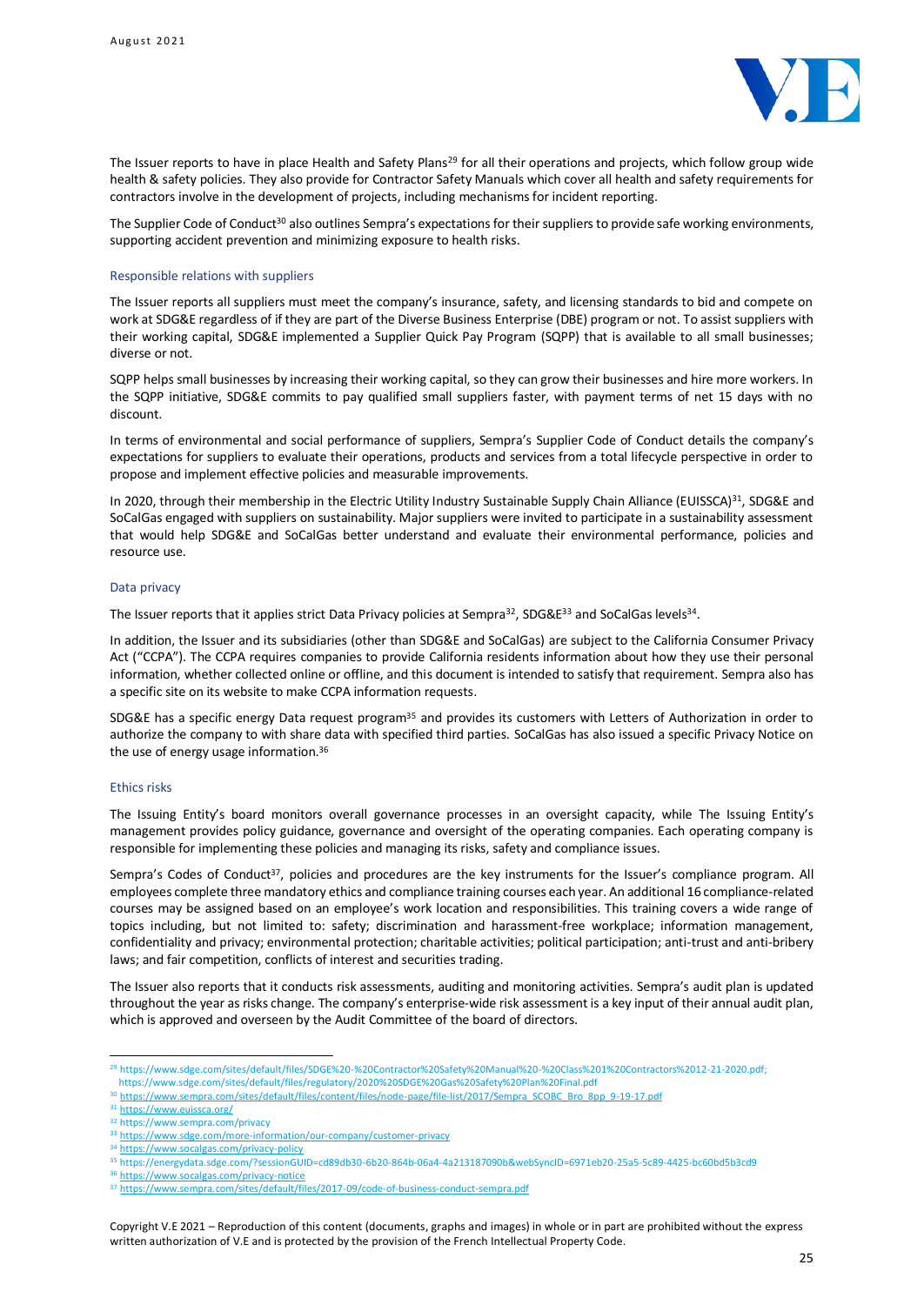

The Issuer reports to have in place Health and Safety Plans<sup>29</sup> for all their operations and projects, which follow group wide health & safety policies. They also provide for Contractor Safety Manuals which cover all health and safety requirements for contractors involve in the development of projects, including mechanisms for incident reporting.

The Supplier Code of Conduct<sup>30</sup> also outlines Sempra's expectations for their suppliers to provide safe working environments, supporting accident prevention and minimizing exposure to health risks.

#### Responsible relations with suppliers

The Issuer reports all suppliers must meet the company's insurance, safety, and licensing standards to bid and compete on work at SDG&E regardless of if they are part of the Diverse Business Enterprise (DBE) program or not. To assist suppliers with their working capital, SDG&E implemented a Supplier Quick Pay Program (SQPP) that is available to all small businesses; diverse or not.

SQPP helps small businesses by increasing their working capital, so they can grow their businesses and hire more workers. In the SQPP initiative, SDG&E commits to pay qualified small suppliers faster, with payment terms of net 15 days with no discount.

In terms of environmental and social performance of suppliers, Sempra's Supplier Code of Conduct details the company's expectations for suppliers to evaluate their operations, products and services from a total lifecycle perspective in order to propose and implement effective policies and measurable improvements.

In 2020, through their membership in the Electric Utility Industry Sustainable Supply Chain Alliance (EUISSCA)<sup>31</sup>, SDG&E and SoCalGas engaged with suppliers on sustainability. Major suppliers were invited to participate in a sustainability assessment that would help SDG&E and SoCalGas better understand and evaluate their environmental performance, policies and resource use.

#### Data privacy

The Issuer reports that it applies strict Data Privacy policies at Sempra<sup>32</sup>, SDG&E<sup>33</sup> and SoCalGas levels<sup>34</sup>.

In addition, the Issuer and its subsidiaries (other than SDG&E and SoCalGas) are subject to the California Consumer Privacy Act ("CCPA"). The CCPA requires companies to provide California residents information about how they use their personal information, whether collected online or offline, and this document is intended to satisfy that requirement. Sempra also has a specific site on its website to make CCPA information requests.

SDG&E has a specific energy Data request program<sup>35</sup> and provides its customers with Letters of Authorization in order to authorize the company to with share data with specified third parties. SoCalGas has also issued a specific Privacy Notice on the use of energy usage information.<sup>36</sup>

#### Ethics risks

The Issuing Entity's board monitors overall governance processes in an oversight capacity, while The Issuing Entity's management provides policy guidance, governance and oversight of the operating companies. Each operating company is responsible for implementing these policies and managing its risks, safety and compliance issues.

Sempra's Codes of Conduct<sup>37</sup>, policies and procedures are the key instruments for the Issuer's compliance program. All employees complete three mandatory ethics and compliance training courses each year. An additional 16 compliance-related courses may be assigned based on an employee's work location and responsibilities. This training covers a wide range of topics including, but not limited to: safety; discrimination and harassment-free workplace; information management, confidentiality and privacy; environmental protection; charitable activities; political participation; anti-trust and anti-bribery laws; and fair competition, conflicts of interest and securities trading.

The Issuer also reports that it conducts risk assessments, auditing and monitoring activities. Sempra's audit plan is updated throughout the year as risks change. The company's enterprise-wide risk assessment is a key input of their annual audit plan, which is approved and overseen by the Audit Committee of the board of directors.

<sup>29</sup> https://www.sdge.com/sites/default/files/SDGE%20-%20Contractor%20Safety%20Manual%20-%20Class%201%20Contractors%2012-21-2020.pdf; https://www.sdge.com/sites/default/files/regulatory/2020%20SDGE%20Gas%20Safety%20Plan%20Final.pdf

<sup>30</sup> [https://www.sempra.com/sites/default/files/content/files/node-page/file-list/2017/Sempra\\_SCOBC\\_Bro\\_8pp\\_9-19-17.pdf](https://www.sempra.com/sites/default/files/content/files/node-page/file-list/2017/Sempra_SCOBC_Bro_8pp_9-19-17.pdf)

<sup>31</sup> <https://www.euissca.org/>

<sup>32</sup> https://www.sempra.com/privacy

<sup>33</sup> <https://www.sdge.com/more-information/our-company/customer-privacy>

<sup>34</sup> <https://www.socalgas.com/privacy-policy>

<sup>35</sup> https://energydata.sdge.com/?sessionGUID=cd89db30-6b20-864b-06a4-4a213187090b&webSyncID=6971eb20-25a5-5c89-4425-bc60bd5b3cd9

<sup>36</sup> <https://www.socalgas.com/privacy-notice>

<sup>37</sup> <https://www.sempra.com/sites/default/files/2017-09/code-of-business-conduct-sempra.pdf>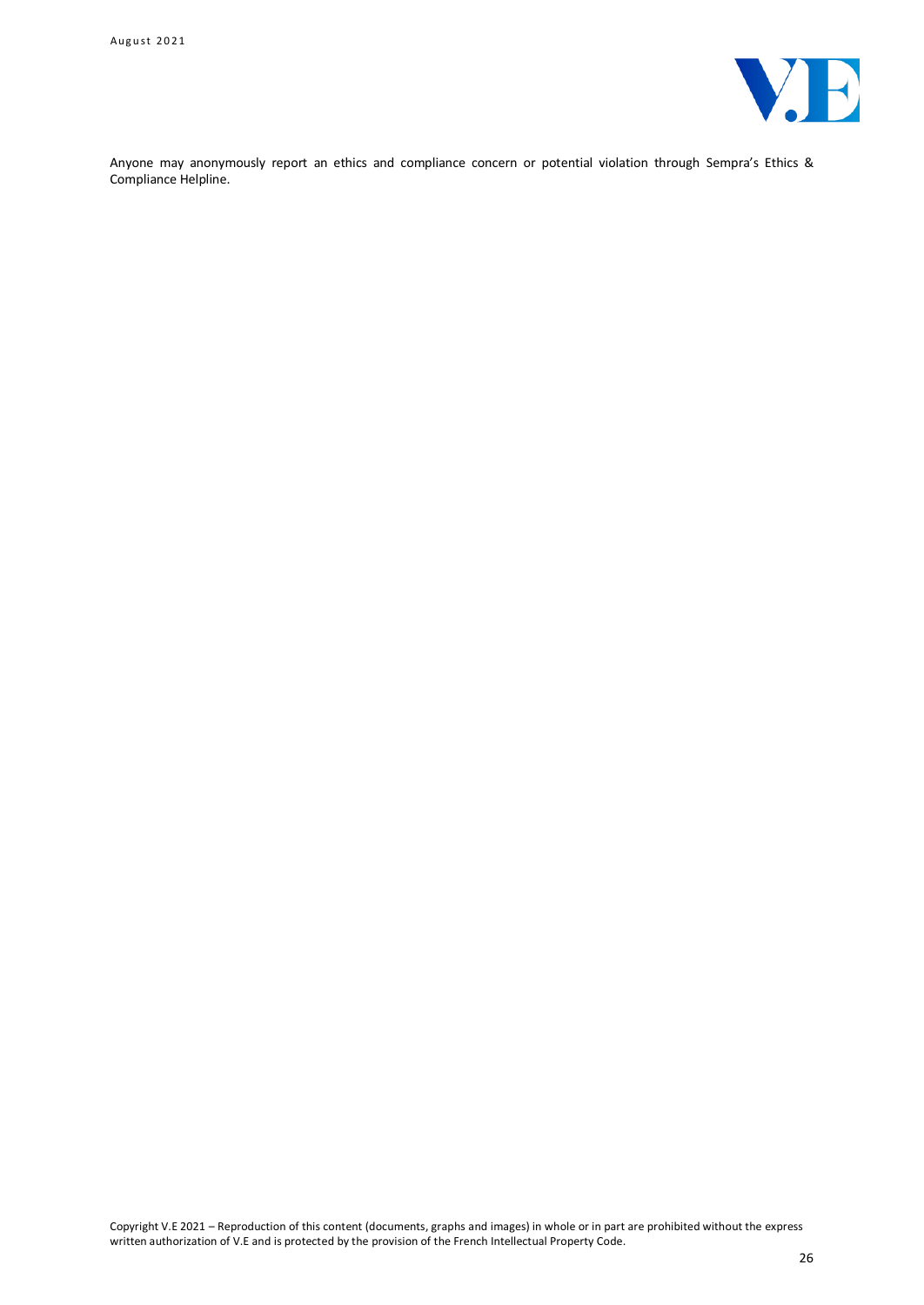

Anyone may anonymously report an ethics and compliance concern or potential violation through Sempra's Ethics & Compliance Helpline.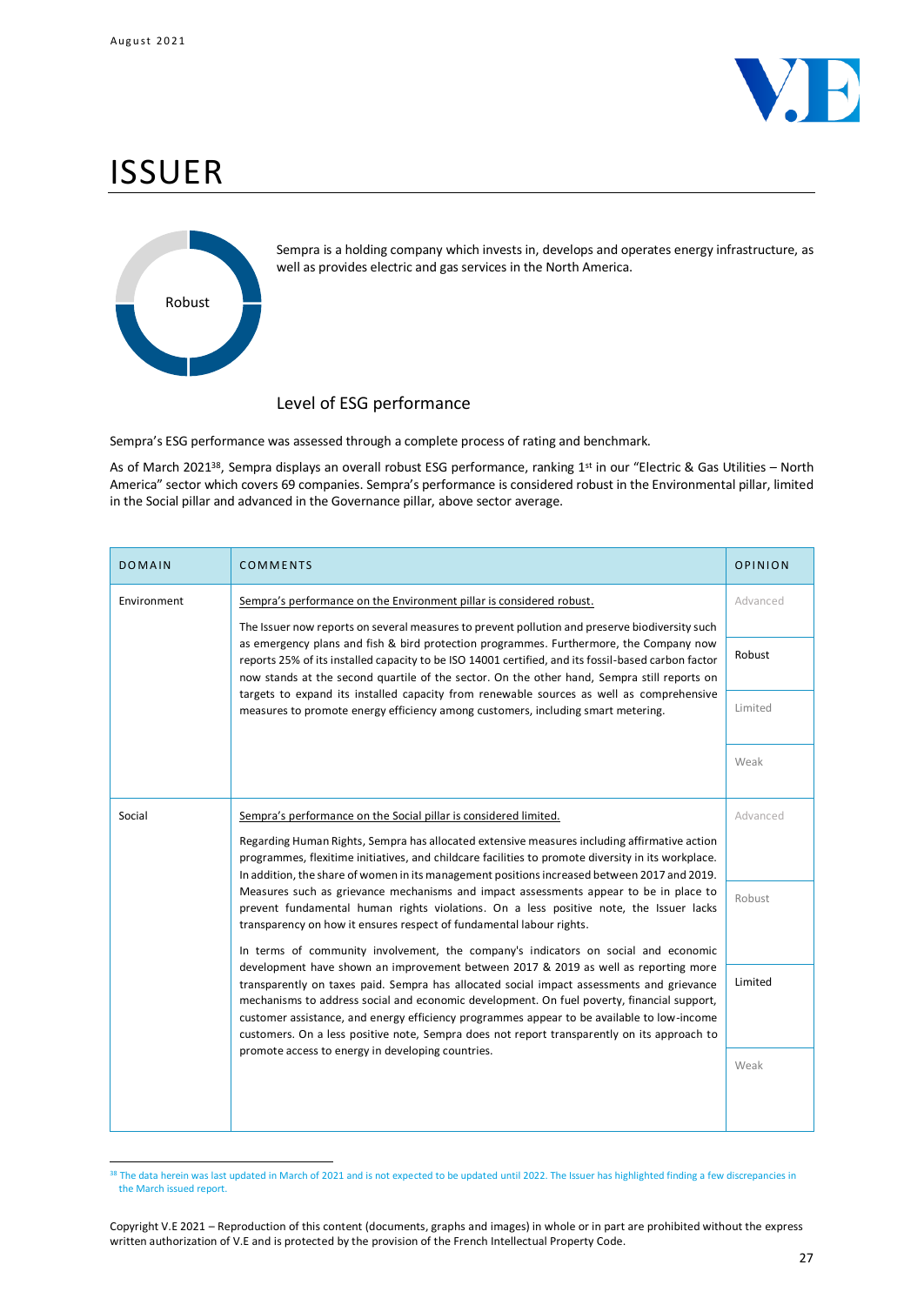

# ISSUER



Sempra is a holding company which invests in, develops and operates energy infrastructure, as well as provides electric and gas services in the North America.

## Level of ESG performance

Sempra's ESG performance was assessed through a complete process of rating and benchmark.

As of March 2021<sup>38</sup>, Sempra displays an overall robust ESG performance, ranking 1st in our "Electric & Gas Utilities – North America" sector which covers 69 companies. Sempra's performance is considered robust in the Environmental pillar, limited in the Social pillar and advanced in the Governance pillar, above sector average.

| Sempra's performance on the Environment pillar is considered robust.<br>Environment                                                                                                                                                                                                                                                                                                                                                       |                                                                                                                                                                                                                                                                                                                                                                                                                                                                                                                                                                                                                                                                                                                                                                                                                                                                                                               |  |  |  |
|-------------------------------------------------------------------------------------------------------------------------------------------------------------------------------------------------------------------------------------------------------------------------------------------------------------------------------------------------------------------------------------------------------------------------------------------|---------------------------------------------------------------------------------------------------------------------------------------------------------------------------------------------------------------------------------------------------------------------------------------------------------------------------------------------------------------------------------------------------------------------------------------------------------------------------------------------------------------------------------------------------------------------------------------------------------------------------------------------------------------------------------------------------------------------------------------------------------------------------------------------------------------------------------------------------------------------------------------------------------------|--|--|--|
|                                                                                                                                                                                                                                                                                                                                                                                                                                           | Robust                                                                                                                                                                                                                                                                                                                                                                                                                                                                                                                                                                                                                                                                                                                                                                                                                                                                                                        |  |  |  |
|                                                                                                                                                                                                                                                                                                                                                                                                                                           | Limited                                                                                                                                                                                                                                                                                                                                                                                                                                                                                                                                                                                                                                                                                                                                                                                                                                                                                                       |  |  |  |
|                                                                                                                                                                                                                                                                                                                                                                                                                                           | Weak                                                                                                                                                                                                                                                                                                                                                                                                                                                                                                                                                                                                                                                                                                                                                                                                                                                                                                          |  |  |  |
|                                                                                                                                                                                                                                                                                                                                                                                                                                           | Advanced                                                                                                                                                                                                                                                                                                                                                                                                                                                                                                                                                                                                                                                                                                                                                                                                                                                                                                      |  |  |  |
| Regarding Human Rights, Sempra has allocated extensive measures including affirmative action<br>programmes, flexitime initiatives, and childcare facilities to promote diversity in its workplace.<br>In addition, the share of women in its management positions increased between 2017 and 2019.                                                                                                                                        |                                                                                                                                                                                                                                                                                                                                                                                                                                                                                                                                                                                                                                                                                                                                                                                                                                                                                                               |  |  |  |
|                                                                                                                                                                                                                                                                                                                                                                                                                                           | Robust                                                                                                                                                                                                                                                                                                                                                                                                                                                                                                                                                                                                                                                                                                                                                                                                                                                                                                        |  |  |  |
| In terms of community involvement, the company's indicators on social and economic<br>development have shown an improvement between 2017 & 2019 as well as reporting more                                                                                                                                                                                                                                                                 |                                                                                                                                                                                                                                                                                                                                                                                                                                                                                                                                                                                                                                                                                                                                                                                                                                                                                                               |  |  |  |
| transparently on taxes paid. Sempra has allocated social impact assessments and grievance<br>mechanisms to address social and economic development. On fuel poverty, financial support,<br>customer assistance, and energy efficiency programmes appear to be available to low-income<br>customers. On a less positive note, Sempra does not report transparently on its approach to<br>promote access to energy in developing countries. | Limited                                                                                                                                                                                                                                                                                                                                                                                                                                                                                                                                                                                                                                                                                                                                                                                                                                                                                                       |  |  |  |
|                                                                                                                                                                                                                                                                                                                                                                                                                                           | Weak                                                                                                                                                                                                                                                                                                                                                                                                                                                                                                                                                                                                                                                                                                                                                                                                                                                                                                          |  |  |  |
|                                                                                                                                                                                                                                                                                                                                                                                                                                           | The Issuer now reports on several measures to prevent pollution and preserve biodiversity such<br>as emergency plans and fish & bird protection programmes. Furthermore, the Company now<br>reports 25% of its installed capacity to be ISO 14001 certified, and its fossil-based carbon factor<br>now stands at the second quartile of the sector. On the other hand, Sempra still reports on<br>targets to expand its installed capacity from renewable sources as well as comprehensive<br>measures to promote energy efficiency among customers, including smart metering.<br>Sempra's performance on the Social pillar is considered limited.<br>Measures such as grievance mechanisms and impact assessments appear to be in place to<br>prevent fundamental human rights violations. On a less positive note, the Issuer lacks<br>transparency on how it ensures respect of fundamental labour rights. |  |  |  |

<sup>38</sup> The data herein was last updated in March of 2021 and is not expected to be updated until 2022. The Issuer has highlighted finding a few discrepancies in the March issued report.

Copyright V.E 2021 – Reproduction of this content (documents, graphs and images) in whole or in part are prohibited without the express written authorization of V.E and is protected by the provision of the French Intellectual Property Code.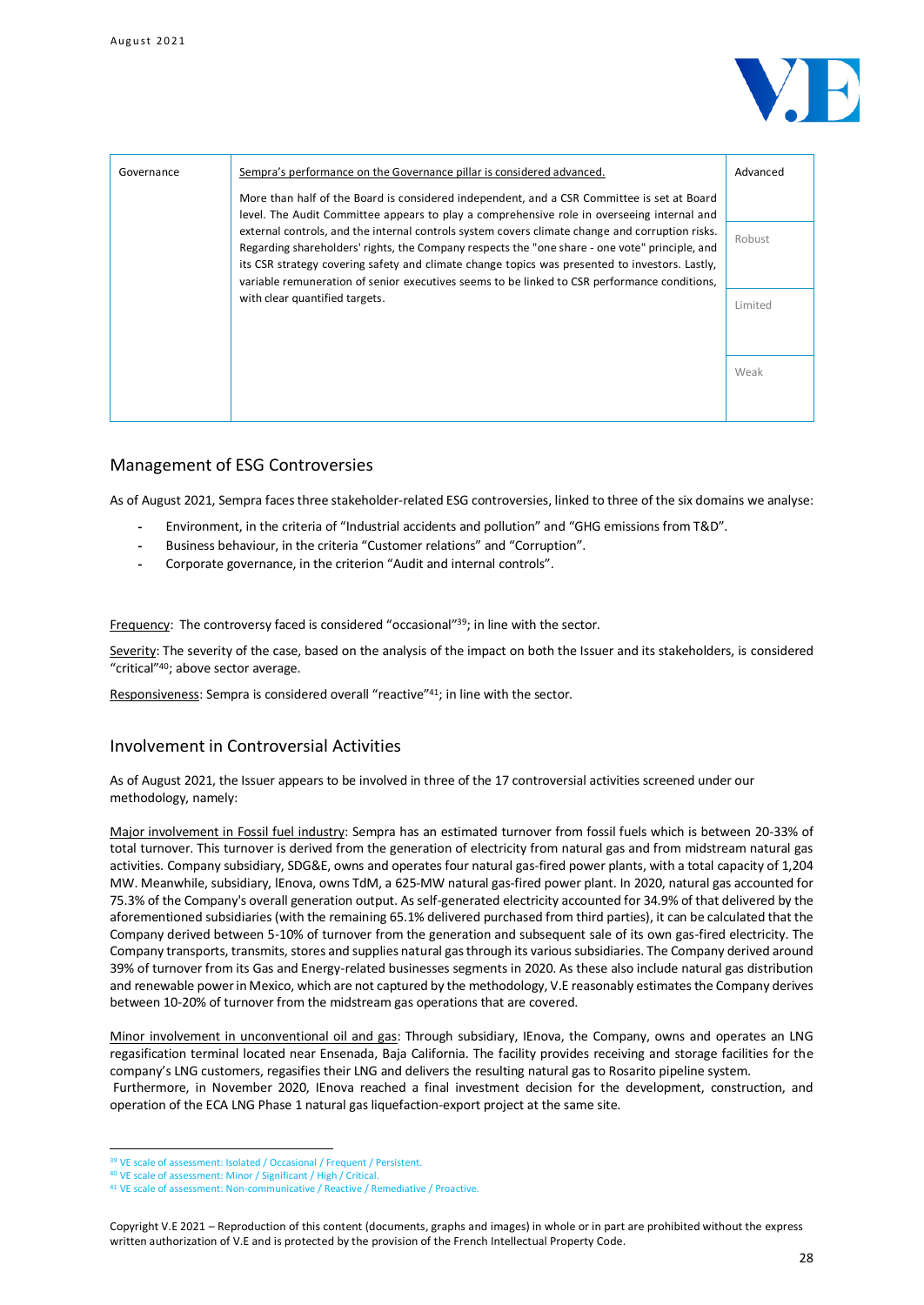

| Governance | Sempra's performance on the Governance pillar is considered advanced.                                                                                                                             | Advanced |
|------------|---------------------------------------------------------------------------------------------------------------------------------------------------------------------------------------------------|----------|
|            | More than half of the Board is considered independent, and a CSR Committee is set at Board<br>level. The Audit Committee appears to play a comprehensive role in overseeing internal and          |          |
|            | external controls, and the internal controls system covers climate change and corruption risks.<br>Regarding shareholders' rights, the Company respects the "one share - one vote" principle, and | Robust   |
|            | its CSR strategy covering safety and climate change topics was presented to investors. Lastly,<br>variable remuneration of senior executives seems to be linked to CSR performance conditions,    |          |
|            | with clear quantified targets.                                                                                                                                                                    | Limited  |
|            |                                                                                                                                                                                                   |          |
|            |                                                                                                                                                                                                   | Weak     |
|            |                                                                                                                                                                                                   |          |

## Management of ESG Controversies

As of August 2021, Sempra faces three stakeholder-related ESG controversies, linked to three of the six domains we analyse:

- Environment, in the criteria of "Industrial accidents and pollution" and "GHG emissions from T&D".
- Business behaviour, in the criteria "Customer relations" and "Corruption".
- Corporate governance, in the criterion "Audit and internal controls".

Frequency: The controversy faced is considered "occasional"<sup>39</sup>; in line with the sector.

Severity: The severity of the case, based on the analysis of the impact on both the Issuer and its stakeholders, is considered "critical" <sup>40</sup>; above sector average.

Responsiveness: Sempra is considered overall "reactive"<sup>41</sup>; in line with the sector.

## Involvement in Controversial Activities

As of August 2021, the Issuer appears to be involved in three of the 17 controversial activities screened under our methodology, namely:

Major involvement in Fossil fuel industry: Sempra has an estimated turnover from fossil fuels which is between 20-33% of total turnover. This turnover is derived from the generation of electricity from natural gas and from midstream natural gas activities. Company subsidiary, SDG&E, owns and operates four natural gas-fired power plants, with a total capacity of 1,204 MW. Meanwhile, subsidiary, lEnova, owns TdM, a 625-MW natural gas-fired power plant. In 2020, natural gas accounted for 75.3% of the Company's overall generation output. As self-generated electricity accounted for 34.9% of that delivered by the aforementioned subsidiaries (with the remaining 65.1% delivered purchased from third parties), it can be calculated that the Company derived between 5-10% of turnover from the generation and subsequent sale of its own gas-fired electricity. The Company transports, transmits, stores and supplies natural gas through its various subsidiaries. The Company derived around 39% of turnover from its Gas and Energy-related businesses segments in 2020. As these also include natural gas distribution and renewable power in Mexico, which are not captured by the methodology, V.E reasonably estimates the Company derives between 10-20% of turnover from the midstream gas operations that are covered.

Minor involvement in unconventional oil and gas: Through subsidiary, IEnova, the Company, owns and operates an LNG regasification terminal located near Ensenada, Baja California. The facility provides receiving and storage facilities for the company's LNG customers, regasifies their LNG and delivers the resulting natural gas to Rosarito pipeline system. Furthermore, in November 2020, IEnova reached a final investment decision for the development, construction, and operation of the ECA LNG Phase 1 natural gas liquefaction-export project at the same site.

<sup>39</sup> VE scale of assessment: Isolated / Occasional / Frequent / Persistent.

<sup>&</sup>lt;sup>2</sup> VE scale of assessment: Minor / Significant / High / Critical.

<sup>41</sup> VE scale of assessment: Non-communicative / Reactive / Remediative / Proactive.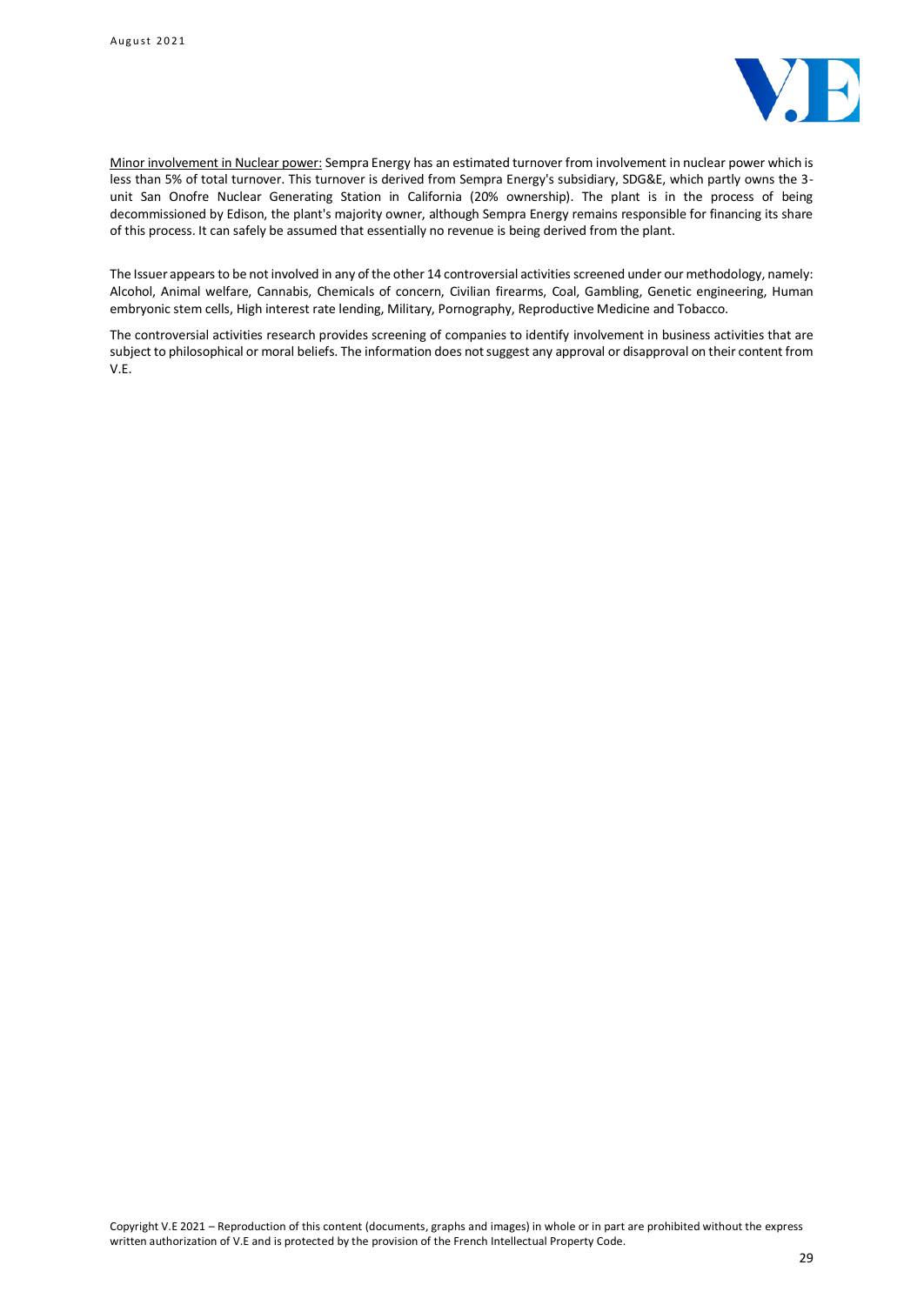

Minor involvement in Nuclear power: Sempra Energy has an estimated turnover from involvement in nuclear power which is less than 5% of total turnover. This turnover is derived from Sempra Energy's subsidiary, SDG&E, which partly owns the 3 unit San Onofre Nuclear Generating Station in California (20% ownership). The plant is in the process of being decommissioned by Edison, the plant's majority owner, although Sempra Energy remains responsible for financing its share of this process. It can safely be assumed that essentially no revenue is being derived from the plant.

The Issuer appears to be not involved in any of the other 14 controversial activities screened under our methodology, namely: Alcohol, Animal welfare, Cannabis, Chemicals of concern, Civilian firearms, Coal, Gambling, Genetic engineering, Human embryonic stem cells, High interest rate lending, Military, Pornography, Reproductive Medicine and Tobacco.

The controversial activities research provides screening of companies to identify involvement in business activities that are subject to philosophical or moral beliefs. The information does not suggest any approval or disapproval on their content from V.E.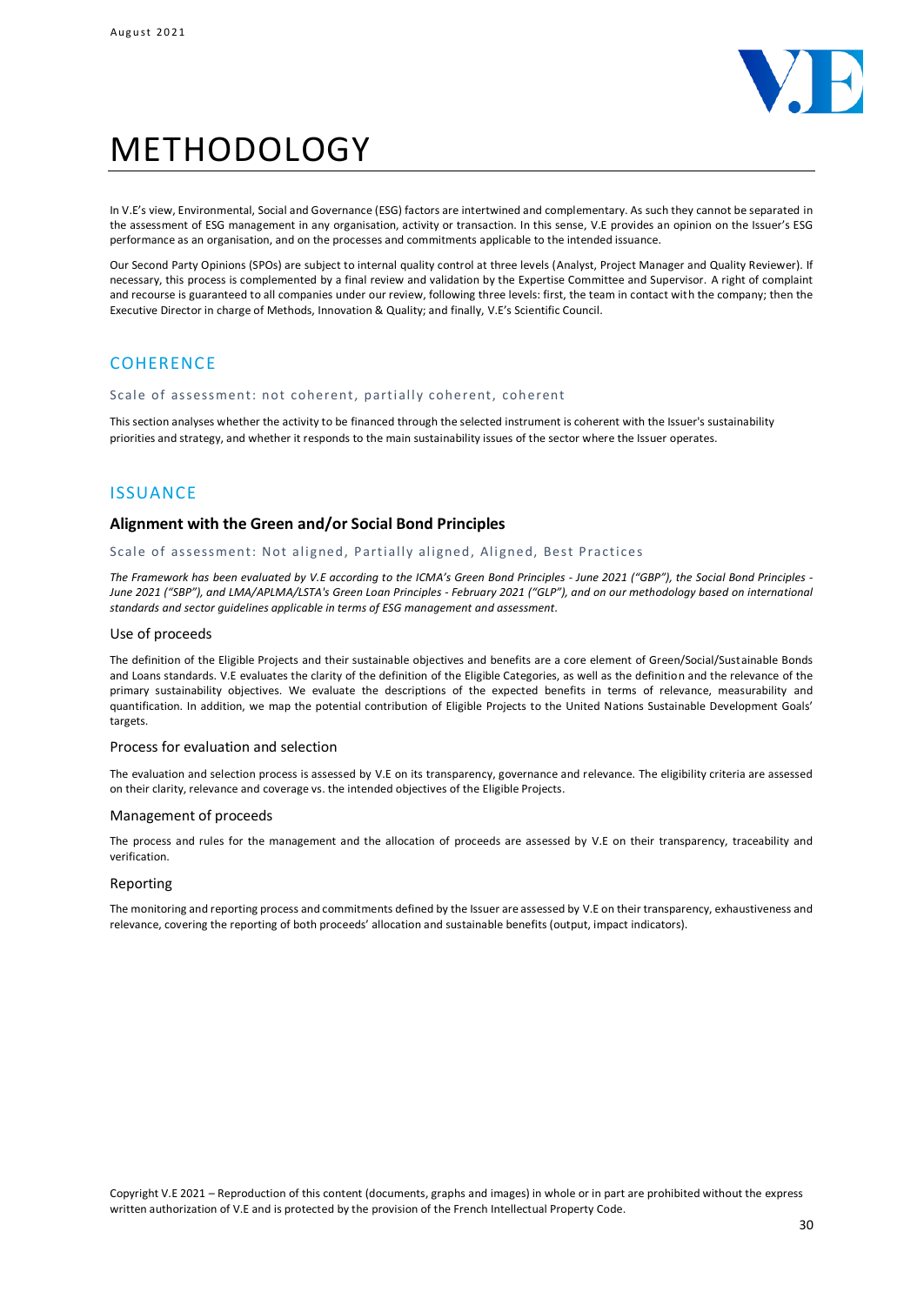

# METHODOLOGY

In V.E's view, Environmental, Social and Governance (ESG) factors are intertwined and complementary. As such they cannot be separated in the assessment of ESG management in any organisation, activity or transaction. In this sense, V.E provides an opinion on the Issuer's ESG performance as an organisation, and on the processes and commitments applicable to the intended issuance.

Our Second Party Opinions (SPOs) are subject to internal quality control at three levels (Analyst, Project Manager and Quality Reviewer). If necessary, this process is complemented by a final review and validation by the Expertise Committee and Supervisor. A right of complaint and recourse is guaranteed to all companies under our review, following three levels: first, the team in contact with the company; then the Executive Director in charge of Methods, Innovation & Quality; and finally, V.E's Scientific Council.

## **COHERENCE**

#### Scale of assessment: not coherent, partially coherent, coherent

This section analyses whether the activity to be financed through the selected instrument is coherent with the Issuer's sustainability priorities and strategy, and whether it responds to the main sustainability issues of the sector where the Issuer operates.

## **ISSUANCE**

#### **Alignment with the Green and/or Social Bond Principles**

#### Scale of assessment: Not aligned, Partially aligned, Aligned, Best Practices

*The Framework has been evaluated by V.E according to the ICMA's Green Bond Principles - June 2021 ("GBP"), the Social Bond Principles - June 2021 ("SBP"), and LMA/APLMA/LSTA's Green Loan Principles - February 2021 ("GLP"), and on our methodology based on international standards and sector guidelines applicable in terms of ESG management and assessment.*

#### Use of proceeds

The definition of the Eligible Projects and their sustainable objectives and benefits are a core element of Green/Social/Sustainable Bonds and Loans standards. V.E evaluates the clarity of the definition of the Eligible Categories, as well as the definition and the relevance of the primary sustainability objectives. We evaluate the descriptions of the expected benefits in terms of relevance, measurability and quantification. In addition, we map the potential contribution of Eligible Projects to the United Nations Sustainable Development Goals' targets.

#### Process for evaluation and selection

The evaluation and selection process is assessed by V.E on its transparency, governance and relevance. The eligibility criteria are assessed on their clarity, relevance and coverage vs. the intended objectives of the Eligible Projects.

#### Management of proceeds

The process and rules for the management and the allocation of proceeds are assessed by V.E on their transparency, traceability and verification.

#### Reporting

The monitoring and reporting process and commitments defined by the Issuer are assessed by V.E on their transparency, exhaustiveness and relevance, covering the reporting of both proceeds' allocation and sustainable benefits (output, impact indicators).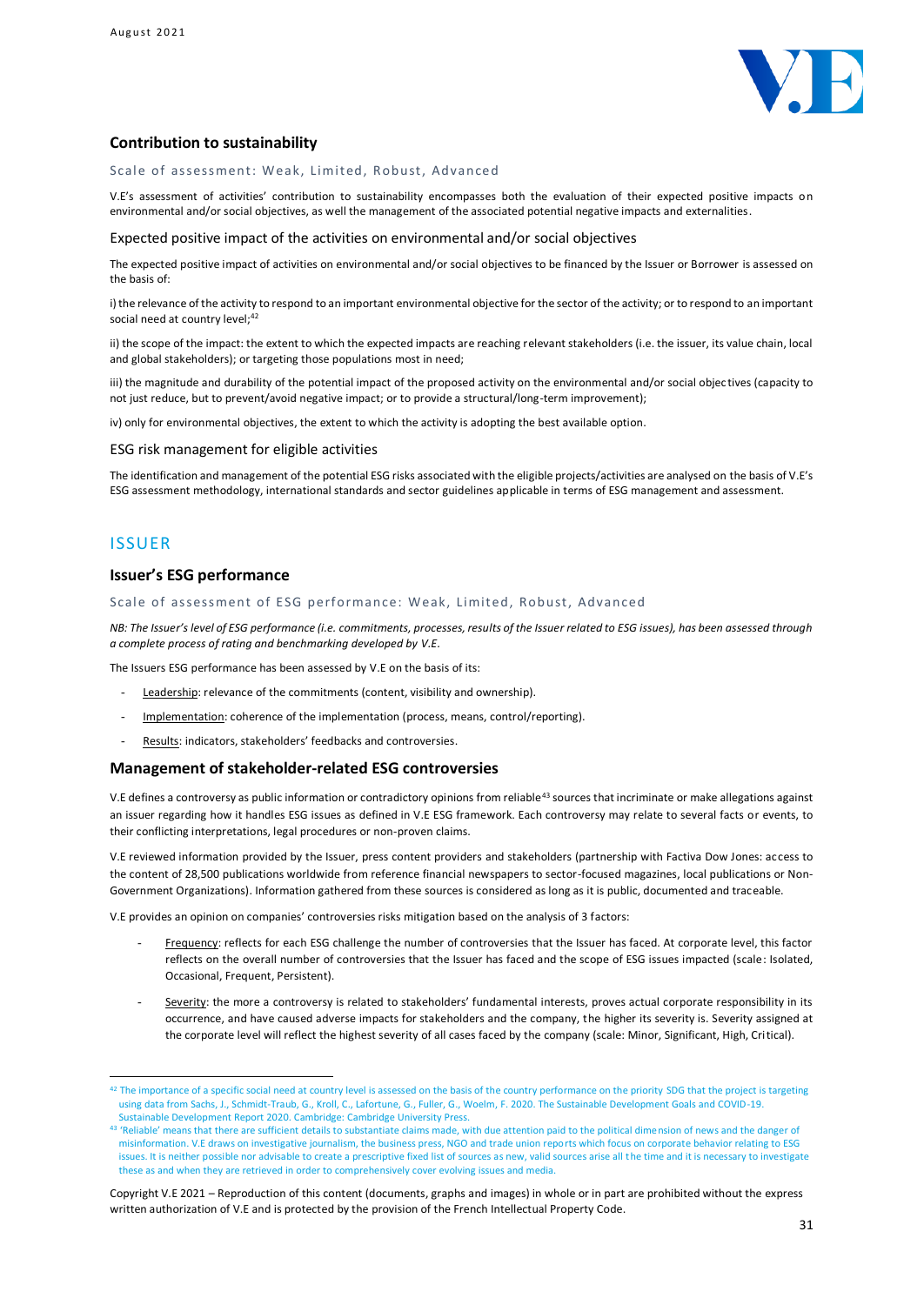

### **Contribution to sustainability**

#### Scale of assessment: Weak, Limited, Robust, Advanced

V.E's assessment of activities' contribution to sustainability encompasses both the evaluation of their expected positive impacts on environmental and/or social objectives, as well the management of the associated potential negative impacts and externalities.

Expected positive impact of the activities on environmental and/or social objectives

The expected positive impact of activities on environmental and/or social objectives to be financed by the Issuer or Borrower is assessed on the basis of:

i) the relevance of the activity to respond to an important environmental objective for the sector of the activity; or to respond to an important social need at country level;<sup>42</sup>

ii) the scope of the impact: the extent to which the expected impacts are reaching relevant stakeholders (i.e. the issuer, its value chain, local and global stakeholders); or targeting those populations most in need;

iii) the magnitude and durability of the potential impact of the proposed activity on the environmental and/or social objec tives (capacity to not just reduce, but to prevent/avoid negative impact; or to provide a structural/long-term improvement);

iv) only for environmental objectives, the extent to which the activity is adopting the best available option.

#### ESG risk management for eligible activities

The identification and management of the potential ESG risks associated with the eligible projects/activities are analysed on the basis of V.E's ESG assessment methodology, international standards and sector guidelines applicable in terms of ESG management and assessment.

### ISSUER

### **Issuer's ESG performance**

#### Scale of assessment of ESG performance: Weak, Limited, Robust, Advanced

*NB: The Issuer's level of ESG performance (i.e. commitments, processes, results of the Issuer related to ESG issues), has been assessed through a complete process of rating and benchmarking developed by V.E.* 

The Issuers ESG performance has been assessed by V.E on the basis of its:

- Leadership: relevance of the commitments (content, visibility and ownership).
- Implementation: coherence of the implementation (process, means, control/reporting).
- Results: indicators, stakeholders' feedbacks and controversies.

#### **Management of stakeholder-related ESG controversies**

V.E defines a controversy as public information or contradictory opinions from reliable<sup>43</sup> sources that incriminate or make allegations against an issuer regarding how it handles ESG issues as defined in V.E ESG framework. Each controversy may relate to several facts or events, to their conflicting interpretations, legal procedures or non-proven claims.

V.E reviewed information provided by the Issuer, press content providers and stakeholders (partnership with Factiva Dow Jones: access to the content of 28,500 publications worldwide from reference financial newspapers to sector-focused magazines, local publications or Non-Government Organizations). Information gathered from these sources is considered as long as it is public, documented and traceable.

V.E provides an opinion on companies' controversies risks mitigation based on the analysis of 3 factors:

- Frequency: reflects for each ESG challenge the number of controversies that the Issuer has faced. At corporate level, this factor reflects on the overall number of controversies that the Issuer has faced and the scope of ESG issues impacted (scale: Isolated, Occasional, Frequent, Persistent).
- Severity: the more a controversy is related to stakeholders' fundamental interests, proves actual corporate responsibility in its occurrence, and have caused adverse impacts for stakeholders and the company, the higher its severity is. Severity assigned at the corporate level will reflect the highest severity of all cases faced by the company (scale: Minor, Significant, High, Critical).

<sup>&</sup>lt;sup>42</sup> The importance of a specific social need at country level is assessed on the basis of the country performance on the priority SDG that the project is targeting using data from Sachs, J., Schmidt-Traub, G., Kroll, C., Lafortune, G., Fuller, G., Woelm, F. 2020. The Sustainable Development Goals and COVID-19. Sustainable Development Report 2020. Cambridge: Cambridge University Press.

<sup>43 &#</sup>x27;Reliable' means that there are sufficient details to substantiate claims made, with due attention paid to the political dimension of news and the danger of misinformation. V.E draws on investigative journalism, the business press, NGO and trade union reports which focus on corporate behavior relating to ESG issues. It is neither possible nor advisable to create a prescriptive fixed list of sources as new, valid sources arise all the time and it is necessary to investigate these as and when they are retrieved in order to comprehensively cover evolving issues and media.

Copyright V.E 2021 – Reproduction of this content (documents, graphs and images) in whole or in part are prohibited without the express written authorization of V.E and is protected by the provision of the French Intellectual Property Code.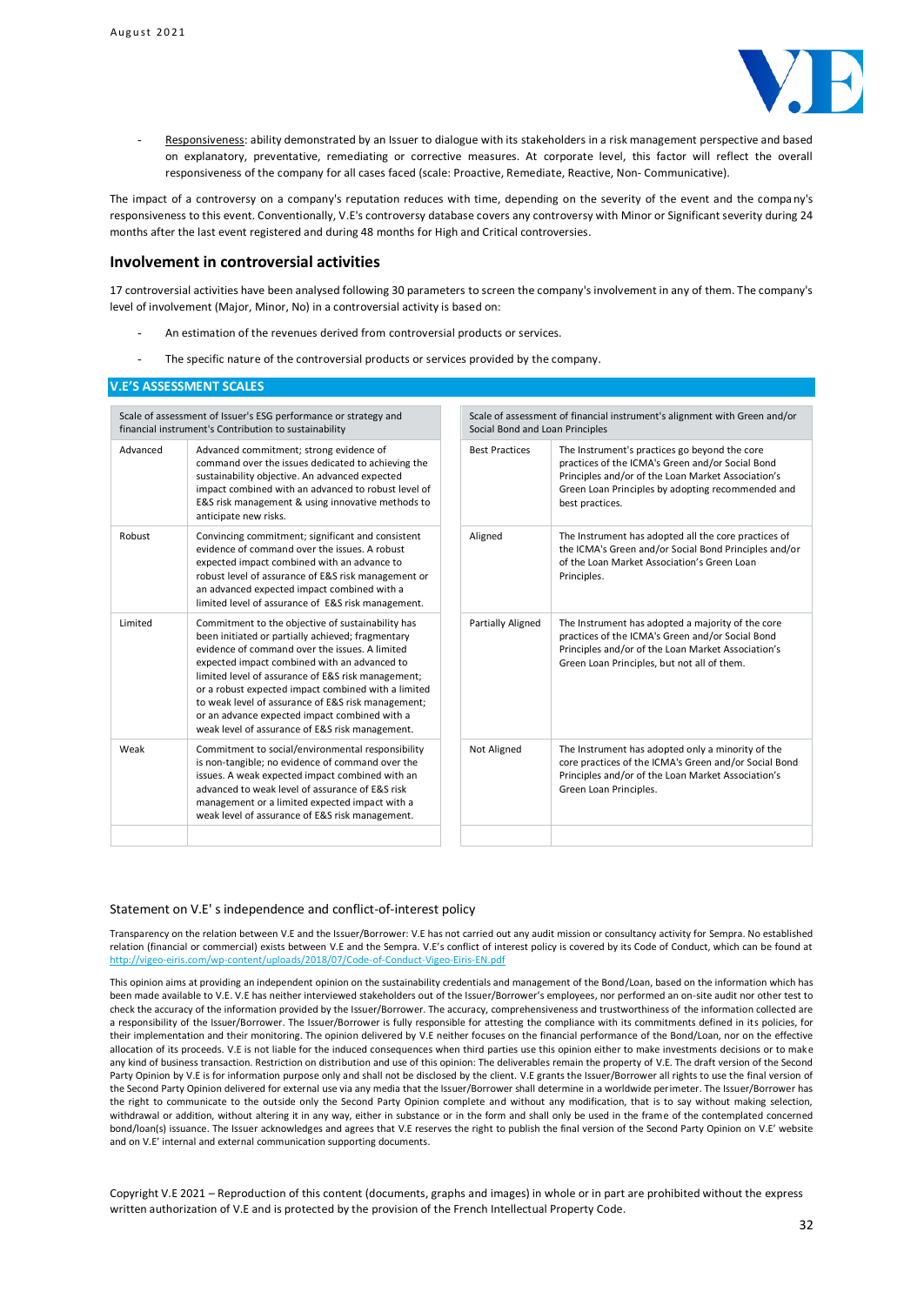

- Responsiveness: ability demonstrated by an Issuer to dialogue with its stakeholders in a risk management perspective and based on explanatory, preventative, remediating or corrective measures. At corporate level, this factor will reflect the overall responsiveness of the company for all cases faced (scale: Proactive, Remediate, Reactive, Non- Communicative).

The impact of a controversy on a company's reputation reduces with time, depending on the severity of the event and the compa ny's responsiveness to this event. Conventionally, V.E's controversy database covers any controversy with Minor or Significant severity during 24 months after the last event registered and during 48 months for High and Critical controversies.

#### **Involvement in controversial activities**

17 controversial activities have been analysed following 30 parameters to screen the company's involvement in any of them. The company's level of involvement (Major, Minor, No) in a controversial activity is based on:

- An estimation of the revenues derived from controversial products or services.
- The specific nature of the controversial products or services provided by the company.

#### **V.E'S ASSESSMENT SCALES**

Scale of assessment of Issuer's ESG performance or strategy and financial instrument's Contribution to sustainability

| Advanced | Advanced commitment; strong evidence of<br>command over the issues dedicated to achieving the<br>sustainability objective. An advanced expected<br>impact combined with an advanced to robust level of<br>E&S risk management & using innovative methods to<br>anticipate new risks.                                                                                                                                                                                            | <b>Best Prac</b> |
|----------|---------------------------------------------------------------------------------------------------------------------------------------------------------------------------------------------------------------------------------------------------------------------------------------------------------------------------------------------------------------------------------------------------------------------------------------------------------------------------------|------------------|
| Robust   | Convincing commitment; significant and consistent<br>evidence of command over the issues. A robust<br>expected impact combined with an advance to<br>robust level of assurance of E&S risk management or<br>an advanced expected impact combined with a<br>limited level of assurance of E&S risk management.                                                                                                                                                                   | Aligned          |
| Limited  | Commitment to the objective of sustainability has<br>been initiated or partially achieved; fragmentary<br>evidence of command over the issues. A limited<br>expected impact combined with an advanced to<br>limited level of assurance of E&S risk management;<br>or a robust expected impact combined with a limited<br>to weak level of assurance of E&S risk management;<br>or an advance expected impact combined with a<br>weak level of assurance of E&S risk management. | Partially        |
| Weak     | Commitment to social/environmental responsibility<br>is non-tangible; no evidence of command over the<br>issues. A weak expected impact combined with an<br>advanced to weak level of assurance of E&S risk<br>management or a limited expected impact with a<br>weak level of assurance of E&S risk management.                                                                                                                                                                | Not Align        |
|          |                                                                                                                                                                                                                                                                                                                                                                                                                                                                                 |                  |

| Scale of assessment of financial instrument's alignment with Green and/or<br>Social Bond and Loan Principles |                                                                                                                                                                                                                                 |  |  |
|--------------------------------------------------------------------------------------------------------------|---------------------------------------------------------------------------------------------------------------------------------------------------------------------------------------------------------------------------------|--|--|
| <b>Best Practices</b>                                                                                        | The Instrument's practices go beyond the core<br>practices of the ICMA's Green and/or Social Bond<br>Principles and/or of the Loan Market Association's<br>Green Loan Principles by adopting recommended and<br>best practices. |  |  |
| Aligned                                                                                                      | The Instrument has adopted all the core practices of<br>the ICMA's Green and/or Social Bond Principles and/or<br>of the Loan Market Association's Green Loan<br>Principles.                                                     |  |  |
| Partially Aligned                                                                                            | The Instrument has adopted a majority of the core<br>practices of the ICMA's Green and/or Social Bond<br>Principles and/or of the Loan Market Association's<br>Green Loan Principles, but not all of them.                      |  |  |
| Not Aligned                                                                                                  | The Instrument has adopted only a minority of the<br>core practices of the ICMA's Green and/or Social Bond<br>Principles and/or of the Loan Market Association's<br>Green Loan Principles.                                      |  |  |
|                                                                                                              |                                                                                                                                                                                                                                 |  |  |

#### Statement on V.E' s independence and conflict-of-interest policy

Transparency on the relation between V.E and the Issuer/Borrower: V.E has not carried out any audit mission or consultancy activity for Sempra. No established relation (financial or commercial) exists between V.E and the Sempra. V.E's conflict of interest policy is covered by its Code of Conduct, which can be found at <http://vigeo-eiris.com/wp-content/uploads/2018/07/Code-of-Conduct-Vigeo-Eiris-EN.pdf>

This opinion aims at providing an independent opinion on the sustainability credentials and management of the Bond/Loan, based on the information which has been made available to V.E. V.E has neither interviewed stakeholders out of the Issuer/Borrower's employees, nor performed an on-site audit nor other test to check the accuracy of the information provided by the Issuer/Borrower. The accuracy, comprehensiveness and trustworthiness of the information collected are a responsibility of the Issuer/Borrower. The Issuer/Borrower is fully responsible for attesting the compliance with its commitments defined in its policies, for their implementation and their monitoring. The opinion delivered by V.E neither focuses on the financial performance of the Bond/Loan, nor on the effective allocation of its proceeds. V.E is not liable for the induced consequences when third parties use this opinion either to make investments decisions or to make any kind of business transaction. Restriction on distribution and use of this opinion: The deliverables remain the property of V.E. The draft version of the Second Party Opinion by V.E is for information purpose only and shall not be disclosed by the client. V.E grants the Issuer/Borrower all rights to use the final version of the Second Party Opinion delivered for external use via any media that the Issuer/Borrower shall determine in a worldwide perimeter. The Issuer/Borrower has the right to communicate to the outside only the Second Party Opinion complete and without any modification, that is to say without making selection, withdrawal or addition, without altering it in any way, either in substance or in the form and shall only be used in the frame of the contemplated concerned bond/loan(s) issuance. The Issuer acknowledges and agrees that V.E reserves the right to publish the final version of the Second Party Opinion on V.E' website and on V.E' internal and external communication supporting documents.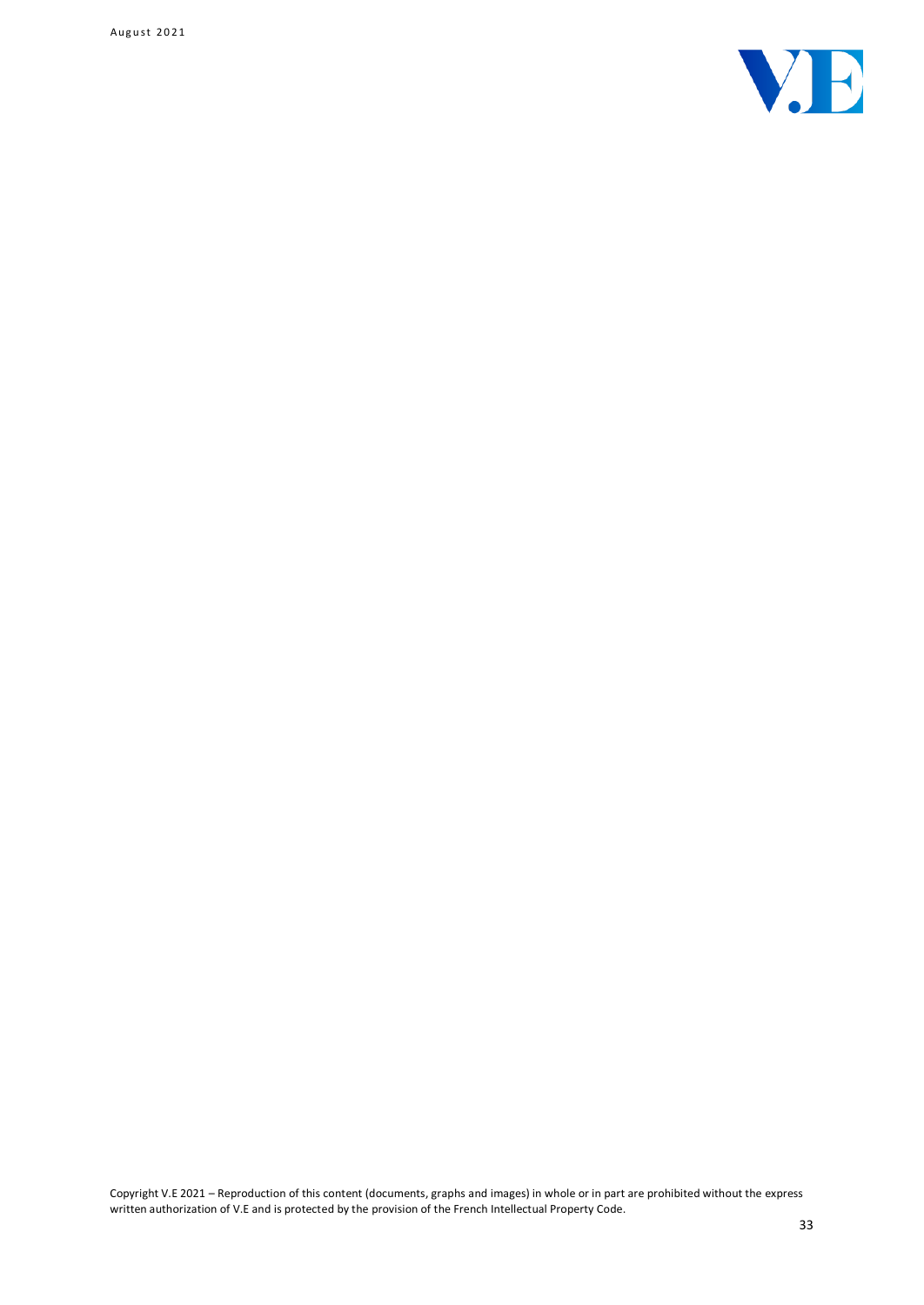August 2021